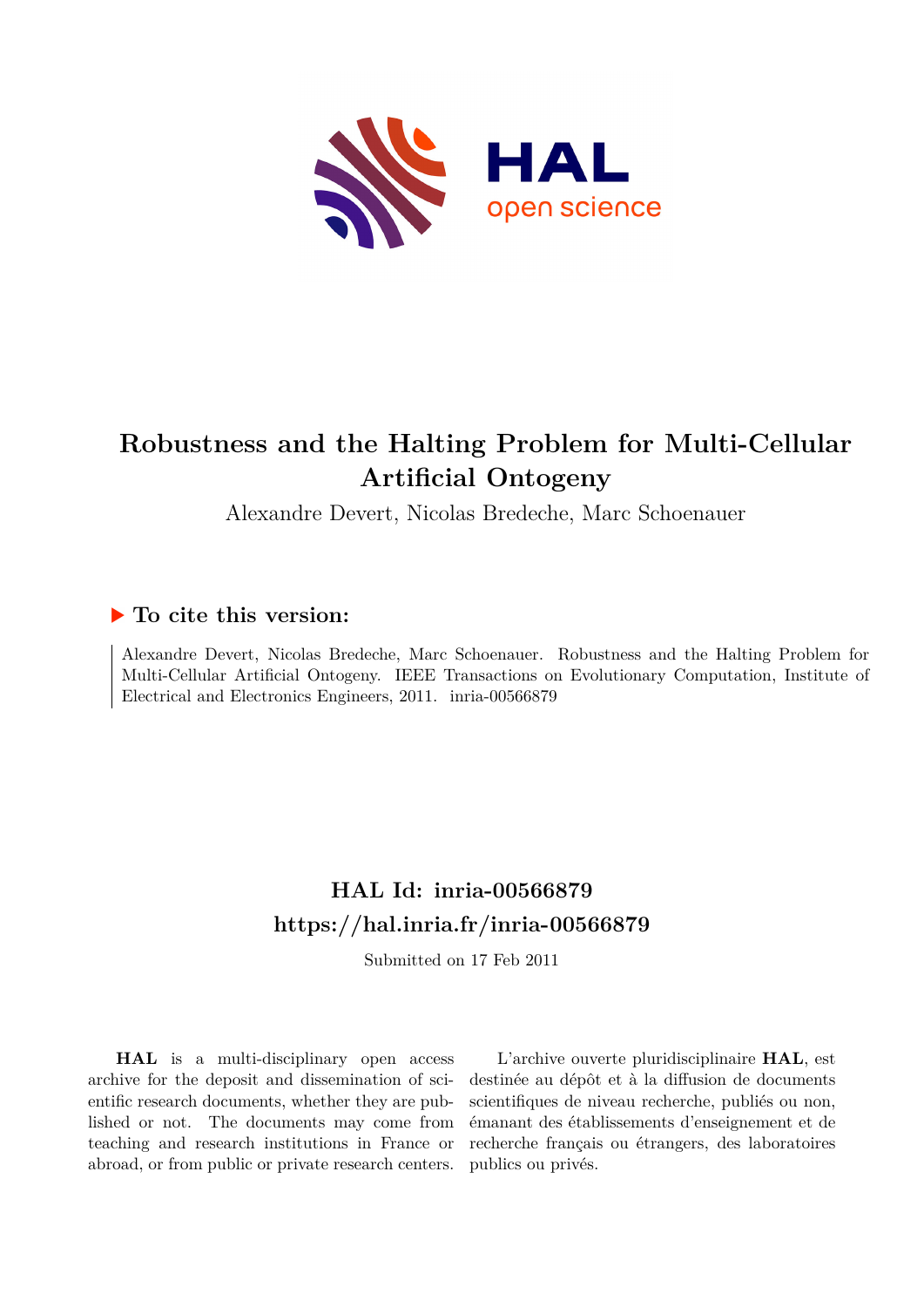

# **Robustness and the Halting Problem for Multi-Cellular Artificial Ontogeny**

Alexandre Devert, Nicolas Bredeche, Marc Schoenauer

# **To cite this version:**

Alexandre Devert, Nicolas Bredeche, Marc Schoenauer. Robustness and the Halting Problem for Multi-Cellular Artificial Ontogeny. IEEE Transactions on Evolutionary Computation, Institute of Electrical and Electronics Engineers, 2011. inria-00566879

# **HAL Id: inria-00566879 <https://hal.inria.fr/inria-00566879>**

Submitted on 17 Feb 2011

**HAL** is a multi-disciplinary open access archive for the deposit and dissemination of scientific research documents, whether they are published or not. The documents may come from teaching and research institutions in France or abroad, or from public or private research centers.

L'archive ouverte pluridisciplinaire **HAL**, est destinée au dépôt et à la diffusion de documents scientifiques de niveau recherche, publiés ou non, émanant des établissements d'enseignement et de recherche français ou étrangers, des laboratoires publics ou privés.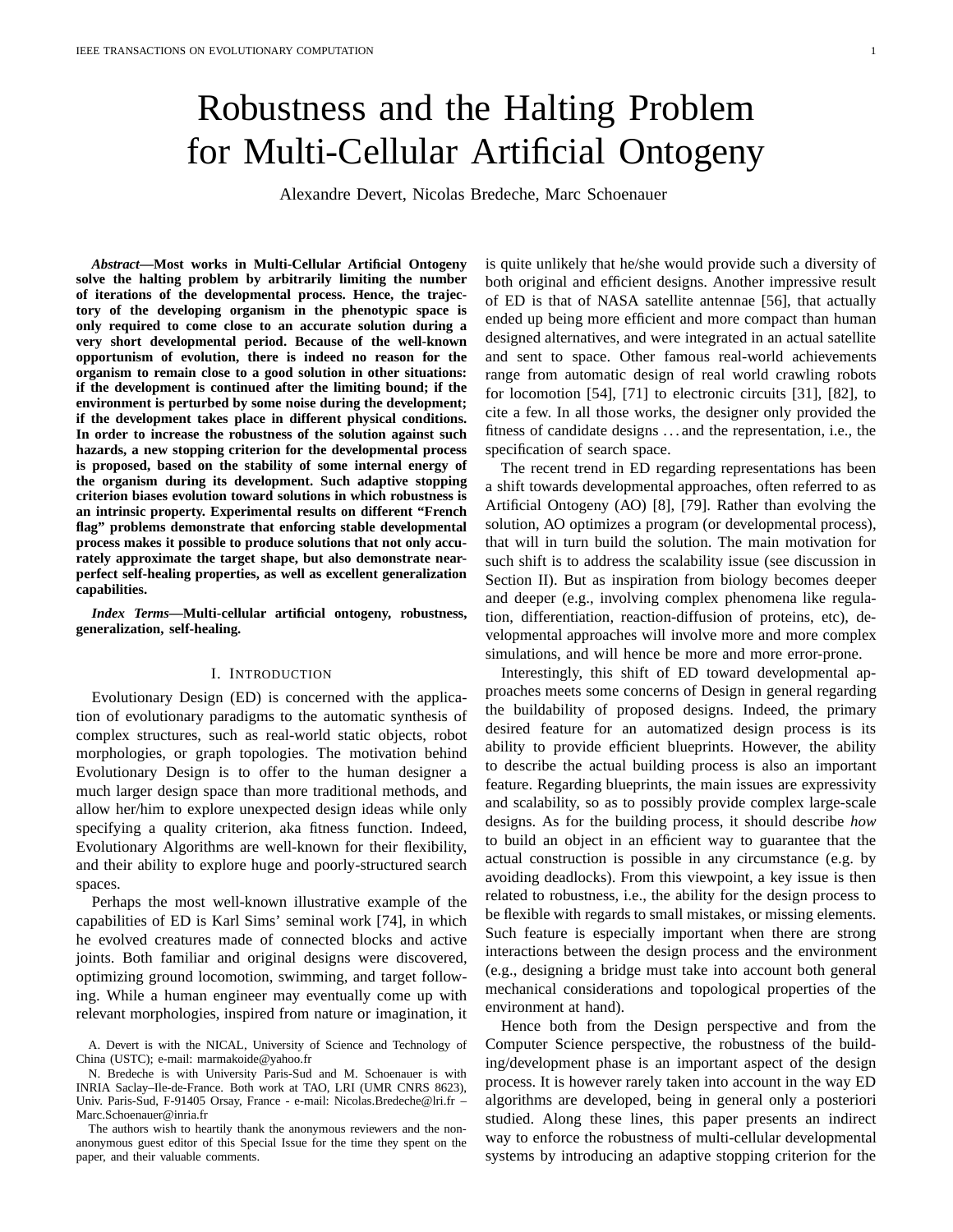# Robustness and the Halting Problem for Multi-Cellular Artificial Ontogeny

Alexandre Devert, Nicolas Bredeche, Marc Schoenauer

*Abstract***—Most works in Multi-Cellular Artificial Ontogeny solve the halting problem by arbitrarily limiting the number of iterations of the developmental process. Hence, the trajectory of the developing organism in the phenotypic space is only required to come close to an accurate solution during a very short developmental period. Because of the well-known opportunism of evolution, there is indeed no reason for the organism to remain close to a good solution in other situations: if the development is continued after the limiting bound; if the environment is perturbed by some noise during the development; if the development takes place in different physical conditions. In order to increase the robustness of the solution against such hazards, a new stopping criterion for the developmental process is proposed, based on the stability of some internal energy of the organism during its development. Such adaptive stopping criterion biases evolution toward solutions in which robustness is an intrinsic property. Experimental results on different "French flag" problems demonstrate that enforcing stable developmental process makes it possible to produce solutions that not only accurately approximate the target shape, but also demonstrate nearperfect self-healing properties, as well as excellent generalization capabilities.**

*Index Terms***—Multi-cellular artificial ontogeny, robustness, generalization, self-healing.**

# I. INTRODUCTION

Evolutionary Design (ED) is concerned with the application of evolutionary paradigms to the automatic synthesis of complex structures, such as real-world static objects, robot morphologies, or graph topologies. The motivation behind Evolutionary Design is to offer to the human designer a much larger design space than more traditional methods, and allow her/him to explore unexpected design ideas while only specifying a quality criterion, aka fitness function. Indeed, Evolutionary Algorithms are well-known for their flexibility, and their ability to explore huge and poorly-structured search spaces.

Perhaps the most well-known illustrative example of the capabilities of ED is Karl Sims' seminal work [74], in which he evolved creatures made of connected blocks and active joints. Both familiar and original designs were discovered, optimizing ground locomotion, swimming, and target following. While a human engineer may eventually come up with relevant morphologies, inspired from nature or imagination, it is quite unlikely that he/she would provide such a diversity of both original and efficient designs. Another impressive result of ED is that of NASA satellite antennae [56], that actually ended up being more efficient and more compact than human designed alternatives, and were integrated in an actual satellite and sent to space. Other famous real-world achievements range from automatic design of real world crawling robots for locomotion [54], [71] to electronic circuits [31], [82], to cite a few. In all those works, the designer only provided the fitness of candidate designs . . . and the representation, i.e., the specification of search space.

The recent trend in ED regarding representations has been a shift towards developmental approaches, often referred to as Artificial Ontogeny (AO) [8], [79]. Rather than evolving the solution, AO optimizes a program (or developmental process), that will in turn build the solution. The main motivation for such shift is to address the scalability issue (see discussion in Section II). But as inspiration from biology becomes deeper and deeper (e.g., involving complex phenomena like regulation, differentiation, reaction-diffusion of proteins, etc), developmental approaches will involve more and more complex simulations, and will hence be more and more error-prone.

Interestingly, this shift of ED toward developmental approaches meets some concerns of Design in general regarding the buildability of proposed designs. Indeed, the primary desired feature for an automatized design process is its ability to provide efficient blueprints. However, the ability to describe the actual building process is also an important feature. Regarding blueprints, the main issues are expressivity and scalability, so as to possibly provide complex large-scale designs. As for the building process, it should describe *how* to build an object in an efficient way to guarantee that the actual construction is possible in any circumstance (e.g. by avoiding deadlocks). From this viewpoint, a key issue is then related to robustness, i.e., the ability for the design process to be flexible with regards to small mistakes, or missing elements. Such feature is especially important when there are strong interactions between the design process and the environment (e.g., designing a bridge must take into account both general mechanical considerations and topological properties of the environment at hand).

Hence both from the Design perspective and from the Computer Science perspective, the robustness of the building/development phase is an important aspect of the design process. It is however rarely taken into account in the way ED algorithms are developed, being in general only a posteriori studied. Along these lines, this paper presents an indirect way to enforce the robustness of multi-cellular developmental systems by introducing an adaptive stopping criterion for the

A. Devert is with the NICAL, University of Science and Technology of China (USTC); e-mail: marmakoide@yahoo.fr

N. Bredeche is with University Paris-Sud and M. Schoenauer is with INRIA Saclay–Ile-de-France. Both work at TAO, LRI (UMR CNRS 8623), Univ. Paris-Sud, F-91405 Orsay, France - e-mail: Nicolas.Bredeche@lri.fr – Marc.Schoenauer@inria.fr

The authors wish to heartily thank the anonymous reviewers and the nonanonymous guest editor of this Special Issue for the time they spent on the paper, and their valuable comments.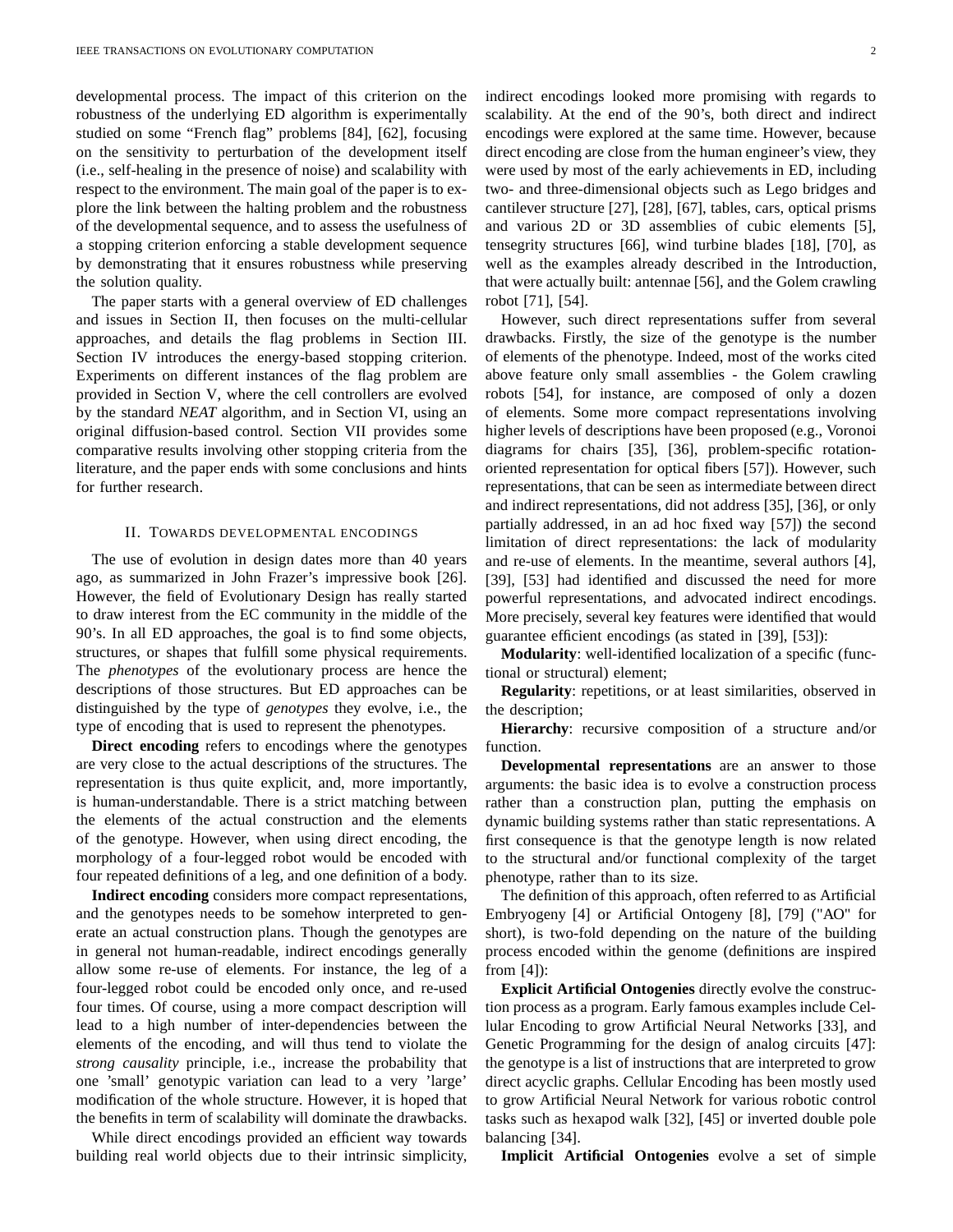developmental process. The impact of this criterion on the robustness of the underlying ED algorithm is experimentally studied on some "French flag" problems [84], [62], focusing on the sensitivity to perturbation of the development itself (i.e., self-healing in the presence of noise) and scalability with respect to the environment. The main goal of the paper is to explore the link between the halting problem and the robustness of the developmental sequence, and to assess the usefulness of a stopping criterion enforcing a stable development sequence by demonstrating that it ensures robustness while preserving the solution quality.

The paper starts with a general overview of ED challenges and issues in Section II, then focuses on the multi-cellular approaches, and details the flag problems in Section III. Section IV introduces the energy-based stopping criterion. Experiments on different instances of the flag problem are provided in Section V, where the cell controllers are evolved by the standard *NEAT* algorithm, and in Section VI, using an original diffusion-based control. Section VII provides some comparative results involving other stopping criteria from the literature, and the paper ends with some conclusions and hints for further research.

# II. TOWARDS DEVELOPMENTAL ENCODINGS

The use of evolution in design dates more than 40 years ago, as summarized in John Frazer's impressive book [26]. However, the field of Evolutionary Design has really started to draw interest from the EC community in the middle of the 90's. In all ED approaches, the goal is to find some objects, structures, or shapes that fulfill some physical requirements. The *phenotypes* of the evolutionary process are hence the descriptions of those structures. But ED approaches can be distinguished by the type of *genotypes* they evolve, i.e., the type of encoding that is used to represent the phenotypes.

**Direct encoding** refers to encodings where the genotypes are very close to the actual descriptions of the structures. The representation is thus quite explicit, and, more importantly, is human-understandable. There is a strict matching between the elements of the actual construction and the elements of the genotype. However, when using direct encoding, the morphology of a four-legged robot would be encoded with four repeated definitions of a leg, and one definition of a body.

**Indirect encoding** considers more compact representations, and the genotypes needs to be somehow interpreted to generate an actual construction plans. Though the genotypes are in general not human-readable, indirect encodings generally allow some re-use of elements. For instance, the leg of a four-legged robot could be encoded only once, and re-used four times. Of course, using a more compact description will lead to a high number of inter-dependencies between the elements of the encoding, and will thus tend to violate the *strong causality* principle, i.e., increase the probability that one 'small' genotypic variation can lead to a very 'large' modification of the whole structure. However, it is hoped that the benefits in term of scalability will dominate the drawbacks.

While direct encodings provided an efficient way towards building real world objects due to their intrinsic simplicity,

indirect encodings looked more promising with regards to scalability. At the end of the 90's, both direct and indirect encodings were explored at the same time. However, because direct encoding are close from the human engineer's view, they were used by most of the early achievements in ED, including two- and three-dimensional objects such as Lego bridges and cantilever structure [27], [28], [67], tables, cars, optical prisms and various 2D or 3D assemblies of cubic elements [5], tensegrity structures [66], wind turbine blades [18], [70], as well as the examples already described in the Introduction, that were actually built: antennae [56], and the Golem crawling robot [71], [54].

However, such direct representations suffer from several drawbacks. Firstly, the size of the genotype is the number of elements of the phenotype. Indeed, most of the works cited above feature only small assemblies - the Golem crawling robots [54], for instance, are composed of only a dozen of elements. Some more compact representations involving higher levels of descriptions have been proposed (e.g., Voronoi diagrams for chairs [35], [36], problem-specific rotationoriented representation for optical fibers [57]). However, such representations, that can be seen as intermediate between direct and indirect representations, did not address [35], [36], or only partially addressed, in an ad hoc fixed way [57]) the second limitation of direct representations: the lack of modularity and re-use of elements. In the meantime, several authors [4], [39], [53] had identified and discussed the need for more powerful representations, and advocated indirect encodings. More precisely, several key features were identified that would guarantee efficient encodings (as stated in [39], [53]):

**Modularity**: well-identified localization of a specific (functional or structural) element;

**Regularity**: repetitions, or at least similarities, observed in the description;

**Hierarchy**: recursive composition of a structure and/or function.

**Developmental representations** are an answer to those arguments: the basic idea is to evolve a construction process rather than a construction plan, putting the emphasis on dynamic building systems rather than static representations. A first consequence is that the genotype length is now related to the structural and/or functional complexity of the target phenotype, rather than to its size.

The definition of this approach, often referred to as Artificial Embryogeny [4] or Artificial Ontogeny [8], [79] ("AO" for short), is two-fold depending on the nature of the building process encoded within the genome (definitions are inspired from [4]):

**Explicit Artificial Ontogenies** directly evolve the construction process as a program. Early famous examples include Cellular Encoding to grow Artificial Neural Networks [33], and Genetic Programming for the design of analog circuits [47]: the genotype is a list of instructions that are interpreted to grow direct acyclic graphs. Cellular Encoding has been mostly used to grow Artificial Neural Network for various robotic control tasks such as hexapod walk [32], [45] or inverted double pole balancing [34].

**Implicit Artificial Ontogenies** evolve a set of simple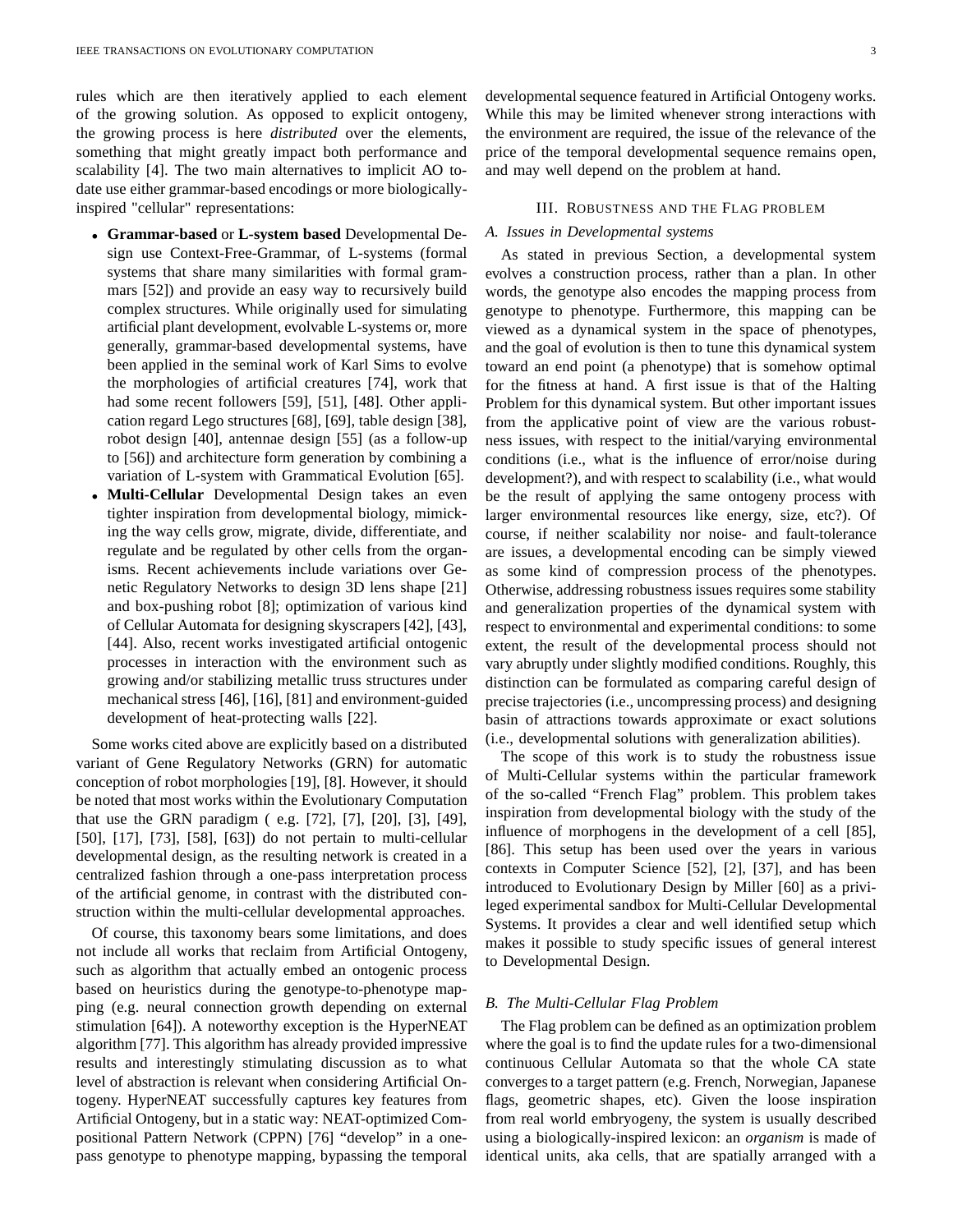rules which are then iteratively applied to each element of the growing solution. As opposed to explicit ontogeny, the growing process is here *distributed* over the elements, something that might greatly impact both performance and scalability [4]. The two main alternatives to implicit AO todate use either grammar-based encodings or more biologicallyinspired "cellular" representations:

- **Grammar-based** or **L-system based** Developmental Design use Context-Free-Grammar, of L-systems (formal systems that share many similarities with formal grammars [52]) and provide an easy way to recursively build complex structures. While originally used for simulating artificial plant development, evolvable L-systems or, more generally, grammar-based developmental systems, have been applied in the seminal work of Karl Sims to evolve the morphologies of artificial creatures [74], work that had some recent followers [59], [51], [48]. Other application regard Lego structures [68], [69], table design [38], robot design [40], antennae design [55] (as a follow-up to [56]) and architecture form generation by combining a variation of L-system with Grammatical Evolution [65].
- **Multi-Cellular** Developmental Design takes an even tighter inspiration from developmental biology, mimicking the way cells grow, migrate, divide, differentiate, and regulate and be regulated by other cells from the organisms. Recent achievements include variations over Genetic Regulatory Networks to design 3D lens shape [21] and box-pushing robot [8]; optimization of various kind of Cellular Automata for designing skyscrapers [42], [43], [44]. Also, recent works investigated artificial ontogenic processes in interaction with the environment such as growing and/or stabilizing metallic truss structures under mechanical stress [46], [16], [81] and environment-guided development of heat-protecting walls [22].

Some works cited above are explicitly based on a distributed variant of Gene Regulatory Networks (GRN) for automatic conception of robot morphologies [19], [8]. However, it should be noted that most works within the Evolutionary Computation that use the GRN paradigm ( e.g. [72], [7], [20], [3], [49], [50], [17], [73], [58], [63]) do not pertain to multi-cellular developmental design, as the resulting network is created in a centralized fashion through a one-pass interpretation process of the artificial genome, in contrast with the distributed construction within the multi-cellular developmental approaches.

Of course, this taxonomy bears some limitations, and does not include all works that reclaim from Artificial Ontogeny, such as algorithm that actually embed an ontogenic process based on heuristics during the genotype-to-phenotype mapping (e.g. neural connection growth depending on external stimulation [64]). A noteworthy exception is the HyperNEAT algorithm [77]. This algorithm has already provided impressive results and interestingly stimulating discussion as to what level of abstraction is relevant when considering Artificial Ontogeny. HyperNEAT successfully captures key features from Artificial Ontogeny, but in a static way: NEAT-optimized Compositional Pattern Network (CPPN) [76] "develop" in a onepass genotype to phenotype mapping, bypassing the temporal developmental sequence featured in Artificial Ontogeny works. While this may be limited whenever strong interactions with the environment are required, the issue of the relevance of the price of the temporal developmental sequence remains open, and may well depend on the problem at hand.

#### III. ROBUSTNESS AND THE FLAG PROBLEM

# *A. Issues in Developmental systems*

As stated in previous Section, a developmental system evolves a construction process, rather than a plan. In other words, the genotype also encodes the mapping process from genotype to phenotype. Furthermore, this mapping can be viewed as a dynamical system in the space of phenotypes, and the goal of evolution is then to tune this dynamical system toward an end point (a phenotype) that is somehow optimal for the fitness at hand. A first issue is that of the Halting Problem for this dynamical system. But other important issues from the applicative point of view are the various robustness issues, with respect to the initial/varying environmental conditions (i.e., what is the influence of error/noise during development?), and with respect to scalability (i.e., what would be the result of applying the same ontogeny process with larger environmental resources like energy, size, etc?). Of course, if neither scalability nor noise- and fault-tolerance are issues, a developmental encoding can be simply viewed as some kind of compression process of the phenotypes. Otherwise, addressing robustness issues requires some stability and generalization properties of the dynamical system with respect to environmental and experimental conditions: to some extent, the result of the developmental process should not vary abruptly under slightly modified conditions. Roughly, this distinction can be formulated as comparing careful design of precise trajectories (i.e., uncompressing process) and designing basin of attractions towards approximate or exact solutions (i.e., developmental solutions with generalization abilities).

The scope of this work is to study the robustness issue of Multi-Cellular systems within the particular framework of the so-called "French Flag" problem. This problem takes inspiration from developmental biology with the study of the influence of morphogens in the development of a cell [85], [86]. This setup has been used over the years in various contexts in Computer Science [52], [2], [37], and has been introduced to Evolutionary Design by Miller [60] as a privileged experimental sandbox for Multi-Cellular Developmental Systems. It provides a clear and well identified setup which makes it possible to study specific issues of general interest to Developmental Design.

# *B. The Multi-Cellular Flag Problem*

The Flag problem can be defined as an optimization problem where the goal is to find the update rules for a two-dimensional continuous Cellular Automata so that the whole CA state converges to a target pattern (e.g. French, Norwegian, Japanese flags, geometric shapes, etc). Given the loose inspiration from real world embryogeny, the system is usually described using a biologically-inspired lexicon: an *organism* is made of identical units, aka cells, that are spatially arranged with a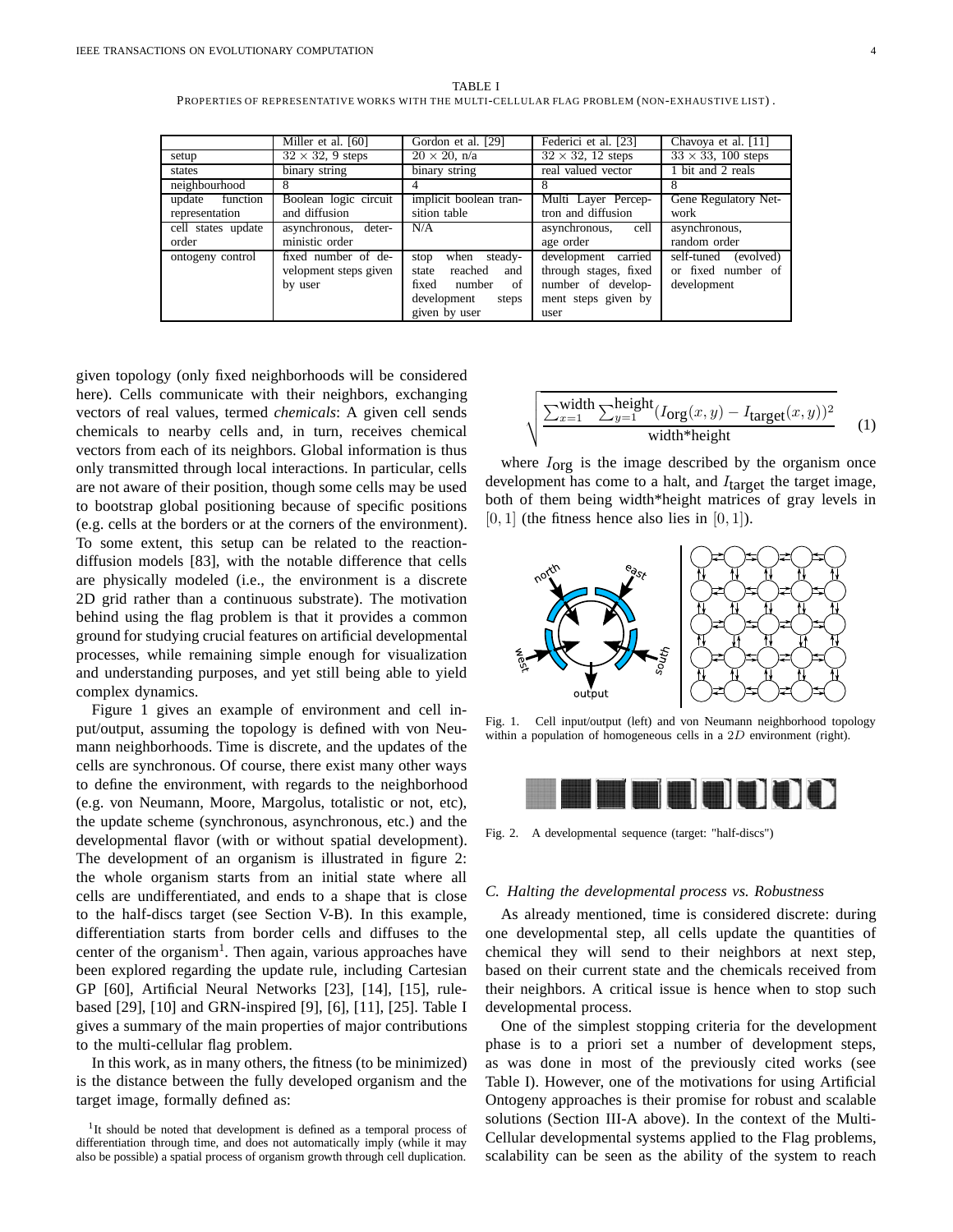TABLE I PROPERTIES OF REPRESENTATIVE WORKS WITH THE MULTI-CELLULAR FLAG PROBLEM (NON-EXHAUSTIVE LIST) .

|                                      | Miller et al. [60]                                      | Gordon et al. [29]                                                                                                | Federici et al. [23]                                                                                 | Chavoya et al. [11]                                       |  |
|--------------------------------------|---------------------------------------------------------|-------------------------------------------------------------------------------------------------------------------|------------------------------------------------------------------------------------------------------|-----------------------------------------------------------|--|
| setup                                | $32 \times 32$ , 9 steps                                | $20 \times 20$ , n/a                                                                                              | $32 \times 32$ , 12 steps                                                                            | $33 \times 33$ , 100 steps                                |  |
| states                               | binary string                                           | binary string                                                                                                     | real valued vector                                                                                   | 1 bit and 2 reals                                         |  |
| neighbourhood                        | 8                                                       |                                                                                                                   | 8                                                                                                    |                                                           |  |
| function<br>update<br>representation | Boolean logic circuit<br>and diffusion                  | implicit boolean tran-<br>sition table                                                                            | Multi Layer Percep-<br>tron and diffusion                                                            | Gene Regulatory Net-<br>work                              |  |
| cell states update<br>order          | asynchronous, deter-<br>ministic order                  | N/A                                                                                                               | cell<br>asynchronous,<br>age order                                                                   | asynchronous,<br>random order                             |  |
| ontogeny control                     | fixed number of de-<br>velopment steps given<br>by user | when steady-<br>stop<br>reached<br>and<br>state<br>of<br>fixed<br>number<br>development<br>steps<br>given by user | carried<br>development<br>through stages, fixed<br>number of develop-<br>ment steps given by<br>user | self-tuned (evolved)<br>or fixed number of<br>development |  |

given topology (only fixed neighborhoods will be considered here). Cells communicate with their neighbors, exchanging vectors of real values, termed *chemicals*: A given cell sends chemicals to nearby cells and, in turn, receives chemical vectors from each of its neighbors. Global information is thus only transmitted through local interactions. In particular, cells are not aware of their position, though some cells may be used to bootstrap global positioning because of specific positions (e.g. cells at the borders or at the corners of the environment). To some extent, this setup can be related to the reactiondiffusion models [83], with the notable difference that cells are physically modeled (i.e., the environment is a discrete 2D grid rather than a continuous substrate). The motivation behind using the flag problem is that it provides a common ground for studying crucial features on artificial developmental processes, while remaining simple enough for visualization and understanding purposes, and yet still being able to yield complex dynamics.

Figure 1 gives an example of environment and cell input/output, assuming the topology is defined with von Neumann neighborhoods. Time is discrete, and the updates of the cells are synchronous. Of course, there exist many other ways to define the environment, with regards to the neighborhood (e.g. von Neumann, Moore, Margolus, totalistic or not, etc), the update scheme (synchronous, asynchronous, etc.) and the developmental flavor (with or without spatial development). The development of an organism is illustrated in figure 2: the whole organism starts from an initial state where all cells are undifferentiated, and ends to a shape that is close to the half-discs target (see Section V-B). In this example, differentiation starts from border cells and diffuses to the center of the organism<sup>1</sup>. Then again, various approaches have been explored regarding the update rule, including Cartesian GP [60], Artificial Neural Networks [23], [14], [15], rulebased [29], [10] and GRN-inspired [9], [6], [11], [25]. Table I gives a summary of the main properties of major contributions to the multi-cellular flag problem.

In this work, as in many others, the fitness (to be minimized) is the distance between the fully developed organism and the target image, formally defined as:

$$
\sqrt{\frac{\sum_{x=1}^{\text{width}} \sum_{y=1}^{\text{height}} (I_{\text{org}}(x, y) - I_{\text{target}}(x, y))^2}{\text{width*height}}}
$$
 (1)

where  $I_{\text{org}}$  is the image described by the organism once development has come to a halt, and  $I_{\text{target}}$  the target image, both of them being width\*height matrices of gray levels in  $[0, 1]$  (the fitness hence also lies in  $[0, 1]$ ).



Fig. 1. Cell input/output (left) and von Neumann neighborhood topology within a population of homogeneous cells in a 2D environment (right).

| <b>THEFERD</b> |  |
|----------------|--|
|----------------|--|

Fig. 2. A developmental sequence (target: "half-discs")

### *C. Halting the developmental process vs. Robustness*

As already mentioned, time is considered discrete: during one developmental step, all cells update the quantities of chemical they will send to their neighbors at next step, based on their current state and the chemicals received from their neighbors. A critical issue is hence when to stop such developmental process.

One of the simplest stopping criteria for the development phase is to a priori set a number of development steps, as was done in most of the previously cited works (see Table I). However, one of the motivations for using Artificial Ontogeny approaches is their promise for robust and scalable solutions (Section III-A above). In the context of the Multi-Cellular developmental systems applied to the Flag problems, scalability can be seen as the ability of the system to reach

<sup>&</sup>lt;sup>1</sup>It should be noted that development is defined as a temporal process of differentiation through time, and does not automatically imply (while it may also be possible) a spatial process of organism growth through cell duplication.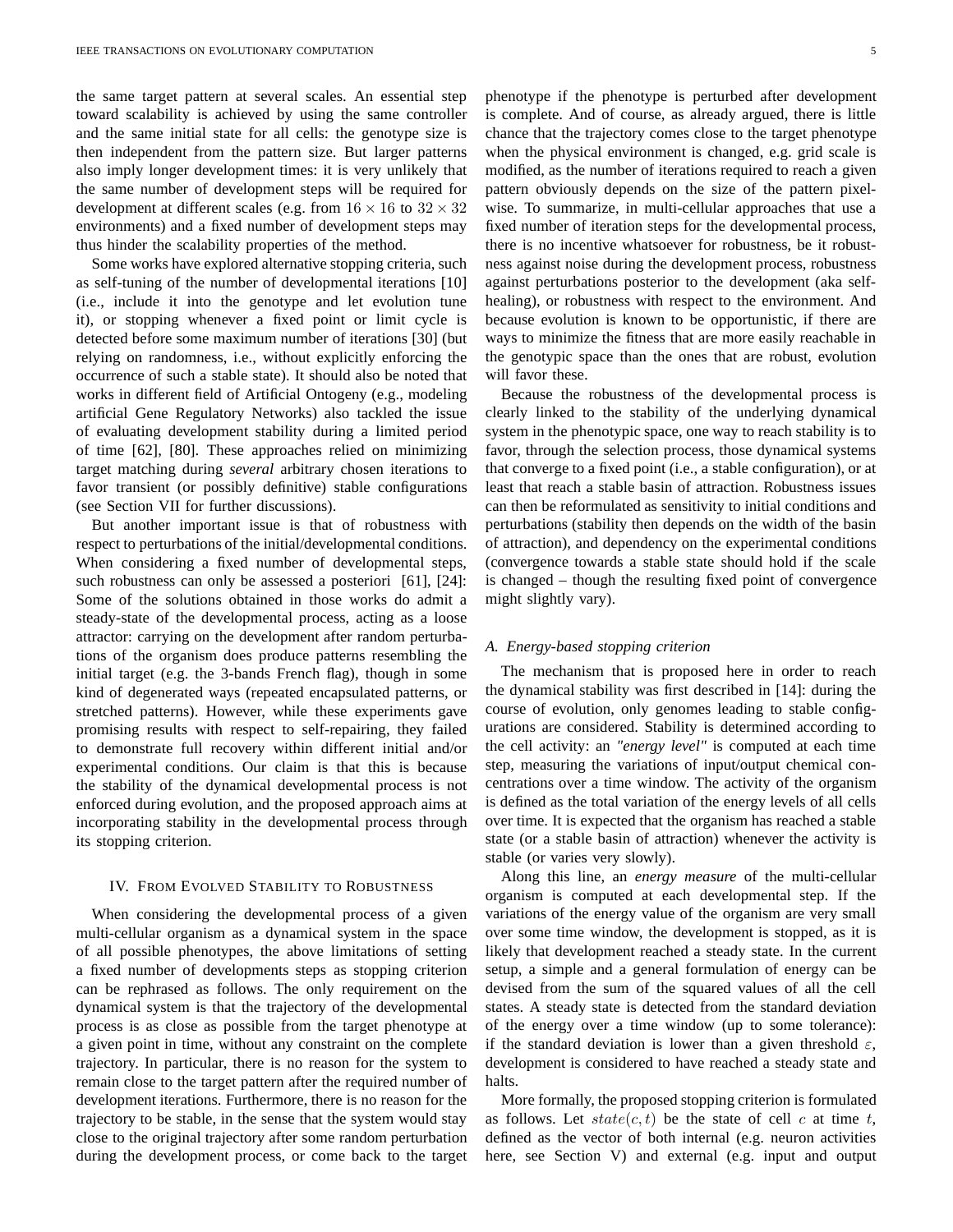the same target pattern at several scales. An essential step toward scalability is achieved by using the same controller and the same initial state for all cells: the genotype size is then independent from the pattern size. But larger patterns also imply longer development times: it is very unlikely that the same number of development steps will be required for development at different scales (e.g. from  $16 \times 16$  to  $32 \times 32$ environments) and a fixed number of development steps may thus hinder the scalability properties of the method.

Some works have explored alternative stopping criteria, such as self-tuning of the number of developmental iterations [10] (i.e., include it into the genotype and let evolution tune it), or stopping whenever a fixed point or limit cycle is detected before some maximum number of iterations [30] (but relying on randomness, i.e., without explicitly enforcing the occurrence of such a stable state). It should also be noted that works in different field of Artificial Ontogeny (e.g., modeling artificial Gene Regulatory Networks) also tackled the issue of evaluating development stability during a limited period of time [62], [80]. These approaches relied on minimizing target matching during *several* arbitrary chosen iterations to favor transient (or possibly definitive) stable configurations (see Section VII for further discussions).

But another important issue is that of robustness with respect to perturbations of the initial/developmental conditions. When considering a fixed number of developmental steps, such robustness can only be assessed a posteriori [61], [24]: Some of the solutions obtained in those works do admit a steady-state of the developmental process, acting as a loose attractor: carrying on the development after random perturbations of the organism does produce patterns resembling the initial target (e.g. the 3-bands French flag), though in some kind of degenerated ways (repeated encapsulated patterns, or stretched patterns). However, while these experiments gave promising results with respect to self-repairing, they failed to demonstrate full recovery within different initial and/or experimental conditions. Our claim is that this is because the stability of the dynamical developmental process is not enforced during evolution, and the proposed approach aims at incorporating stability in the developmental process through its stopping criterion.

## IV. FROM EVOLVED STABILITY TO ROBUSTNESS

When considering the developmental process of a given multi-cellular organism as a dynamical system in the space of all possible phenotypes, the above limitations of setting a fixed number of developments steps as stopping criterion can be rephrased as follows. The only requirement on the dynamical system is that the trajectory of the developmental process is as close as possible from the target phenotype at a given point in time, without any constraint on the complete trajectory. In particular, there is no reason for the system to remain close to the target pattern after the required number of development iterations. Furthermore, there is no reason for the trajectory to be stable, in the sense that the system would stay close to the original trajectory after some random perturbation during the development process, or come back to the target

phenotype if the phenotype is perturbed after development is complete. And of course, as already argued, there is little chance that the trajectory comes close to the target phenotype when the physical environment is changed, e.g. grid scale is modified, as the number of iterations required to reach a given pattern obviously depends on the size of the pattern pixelwise. To summarize, in multi-cellular approaches that use a fixed number of iteration steps for the developmental process, there is no incentive whatsoever for robustness, be it robustness against noise during the development process, robustness against perturbations posterior to the development (aka selfhealing), or robustness with respect to the environment. And because evolution is known to be opportunistic, if there are ways to minimize the fitness that are more easily reachable in the genotypic space than the ones that are robust, evolution will favor these.

Because the robustness of the developmental process is clearly linked to the stability of the underlying dynamical system in the phenotypic space, one way to reach stability is to favor, through the selection process, those dynamical systems that converge to a fixed point (i.e., a stable configuration), or at least that reach a stable basin of attraction. Robustness issues can then be reformulated as sensitivity to initial conditions and perturbations (stability then depends on the width of the basin of attraction), and dependency on the experimental conditions (convergence towards a stable state should hold if the scale is changed – though the resulting fixed point of convergence might slightly vary).

# *A. Energy-based stopping criterion*

The mechanism that is proposed here in order to reach the dynamical stability was first described in [14]: during the course of evolution, only genomes leading to stable configurations are considered. Stability is determined according to the cell activity: an *"energy level"* is computed at each time step, measuring the variations of input/output chemical concentrations over a time window. The activity of the organism is defined as the total variation of the energy levels of all cells over time. It is expected that the organism has reached a stable state (or a stable basin of attraction) whenever the activity is stable (or varies very slowly).

Along this line, an *energy measure* of the multi-cellular organism is computed at each developmental step. If the variations of the energy value of the organism are very small over some time window, the development is stopped, as it is likely that development reached a steady state. In the current setup, a simple and a general formulation of energy can be devised from the sum of the squared values of all the cell states. A steady state is detected from the standard deviation of the energy over a time window (up to some tolerance): if the standard deviation is lower than a given threshold  $\varepsilon$ , development is considered to have reached a steady state and halts.

More formally, the proposed stopping criterion is formulated as follows. Let  $state(c, t)$  be the state of cell c at time t, defined as the vector of both internal (e.g. neuron activities here, see Section V) and external (e.g. input and output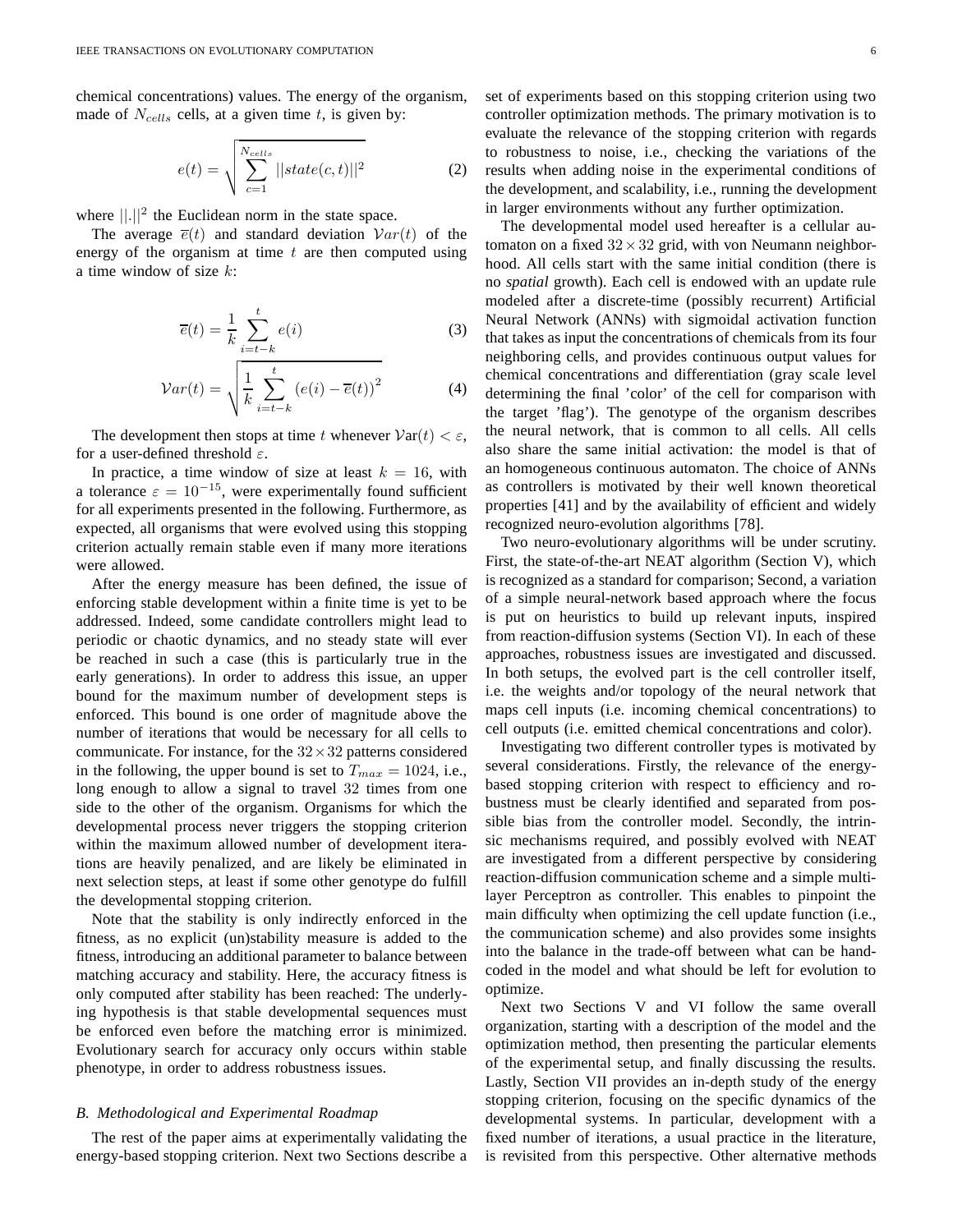chemical concentrations) values. The energy of the organism, made of  $N_{cells}$  cells, at a given time t, is given by:

$$
e(t) = \sqrt{\sum_{c=1}^{N_{cells}} ||state(c, t)||^2}
$$
 (2)

where  $\lVert \cdot \rVert^2$  the Euclidean norm in the state space.

The average  $\overline{e}(t)$  and standard deviation  $Var(t)$  of the energy of the organism at time  $t$  are then computed using a time window of size k:

$$
\overline{e}(t) = \frac{1}{k} \sum_{i=t-k}^{t} e(i)
$$
 (3)

$$
Var(t) = \sqrt{\frac{1}{k} \sum_{i=t-k}^{t} (e(i) - \overline{e}(t))^2}
$$
 (4)

The development then stops at time t whenever  $\text{Var}(t) < \varepsilon$ , for a user-defined threshold  $\varepsilon$ .

In practice, a time window of size at least  $k = 16$ , with a tolerance  $\varepsilon = 10^{-15}$ , were experimentally found sufficient for all experiments presented in the following. Furthermore, as expected, all organisms that were evolved using this stopping criterion actually remain stable even if many more iterations were allowed.

After the energy measure has been defined, the issue of enforcing stable development within a finite time is yet to be addressed. Indeed, some candidate controllers might lead to periodic or chaotic dynamics, and no steady state will ever be reached in such a case (this is particularly true in the early generations). In order to address this issue, an upper bound for the maximum number of development steps is enforced. This bound is one order of magnitude above the number of iterations that would be necessary for all cells to communicate. For instance, for the  $32 \times 32$  patterns considered in the following, the upper bound is set to  $T_{max} = 1024$ , i.e., long enough to allow a signal to travel 32 times from one side to the other of the organism. Organisms for which the developmental process never triggers the stopping criterion within the maximum allowed number of development iterations are heavily penalized, and are likely be eliminated in next selection steps, at least if some other genotype do fulfill the developmental stopping criterion.

Note that the stability is only indirectly enforced in the fitness, as no explicit (un)stability measure is added to the fitness, introducing an additional parameter to balance between matching accuracy and stability. Here, the accuracy fitness is only computed after stability has been reached: The underlying hypothesis is that stable developmental sequences must be enforced even before the matching error is minimized. Evolutionary search for accuracy only occurs within stable phenotype, in order to address robustness issues.

# *B. Methodological and Experimental Roadmap*

The rest of the paper aims at experimentally validating the energy-based stopping criterion. Next two Sections describe a

set of experiments based on this stopping criterion using two controller optimization methods. The primary motivation is to evaluate the relevance of the stopping criterion with regards to robustness to noise, i.e., checking the variations of the results when adding noise in the experimental conditions of the development, and scalability, i.e., running the development in larger environments without any further optimization.

The developmental model used hereafter is a cellular automaton on a fixed  $32 \times 32$  grid, with von Neumann neighborhood. All cells start with the same initial condition (there is no *spatial* growth). Each cell is endowed with an update rule modeled after a discrete-time (possibly recurrent) Artificial Neural Network (ANNs) with sigmoidal activation function that takes as input the concentrations of chemicals from its four neighboring cells, and provides continuous output values for chemical concentrations and differentiation (gray scale level determining the final 'color' of the cell for comparison with the target 'flag'). The genotype of the organism describes the neural network, that is common to all cells. All cells also share the same initial activation: the model is that of an homogeneous continuous automaton. The choice of ANNs as controllers is motivated by their well known theoretical properties [41] and by the availability of efficient and widely recognized neuro-evolution algorithms [78].

Two neuro-evolutionary algorithms will be under scrutiny. First, the state-of-the-art NEAT algorithm (Section V), which is recognized as a standard for comparison; Second, a variation of a simple neural-network based approach where the focus is put on heuristics to build up relevant inputs, inspired from reaction-diffusion systems (Section VI). In each of these approaches, robustness issues are investigated and discussed. In both setups, the evolved part is the cell controller itself, i.e. the weights and/or topology of the neural network that maps cell inputs (i.e. incoming chemical concentrations) to cell outputs (i.e. emitted chemical concentrations and color).

Investigating two different controller types is motivated by several considerations. Firstly, the relevance of the energybased stopping criterion with respect to efficiency and robustness must be clearly identified and separated from possible bias from the controller model. Secondly, the intrinsic mechanisms required, and possibly evolved with NEAT are investigated from a different perspective by considering reaction-diffusion communication scheme and a simple multilayer Perceptron as controller. This enables to pinpoint the main difficulty when optimizing the cell update function (i.e., the communication scheme) and also provides some insights into the balance in the trade-off between what can be handcoded in the model and what should be left for evolution to optimize.

Next two Sections V and VI follow the same overall organization, starting with a description of the model and the optimization method, then presenting the particular elements of the experimental setup, and finally discussing the results. Lastly, Section VII provides an in-depth study of the energy stopping criterion, focusing on the specific dynamics of the developmental systems. In particular, development with a fixed number of iterations, a usual practice in the literature, is revisited from this perspective. Other alternative methods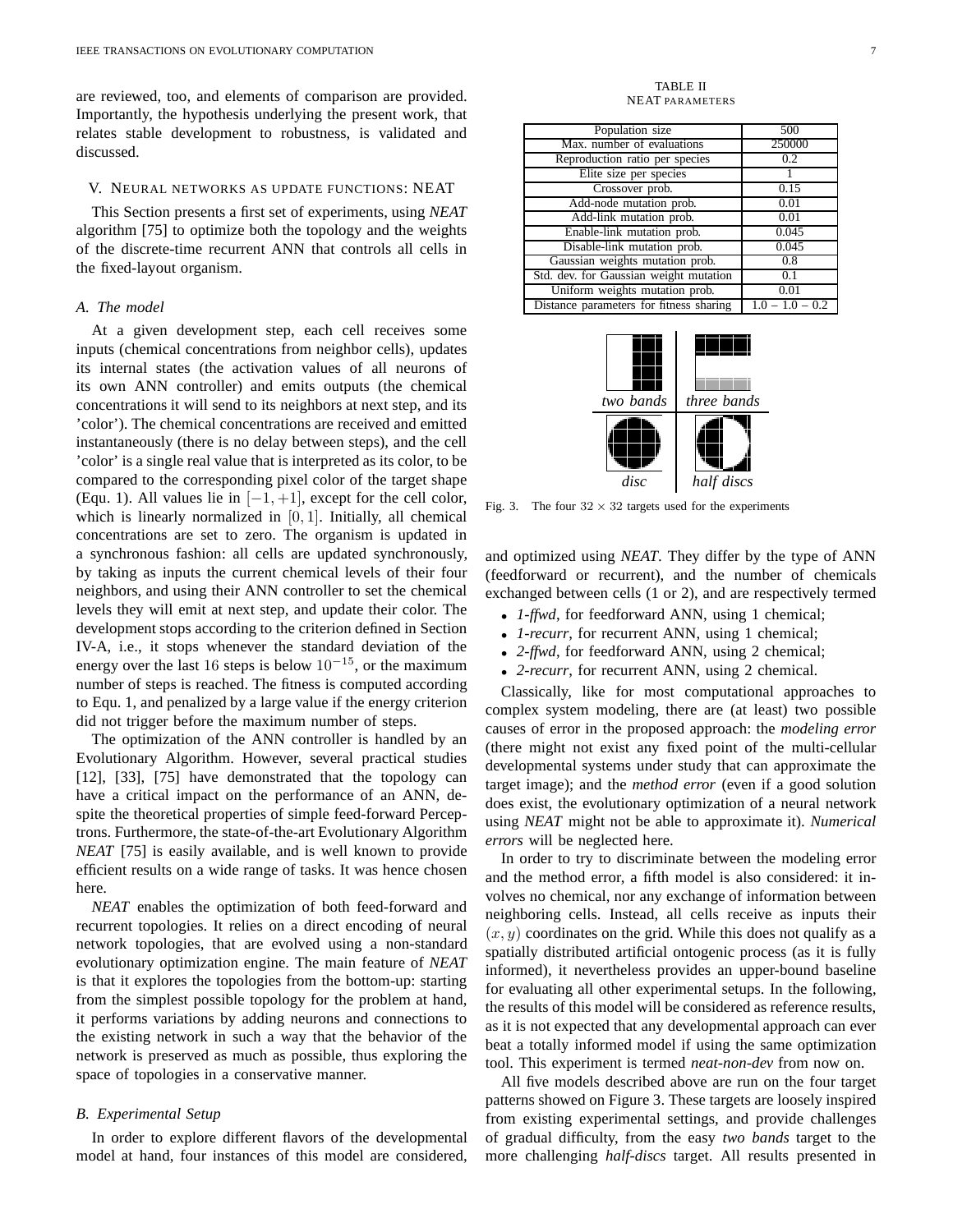are reviewed, too, and elements of comparison are provided. Importantly, the hypothesis underlying the present work, that relates stable development to robustness, is validated and discussed.

# V. NEURAL NETWORKS AS UPDATE FUNCTIONS: NEAT

This Section presents a first set of experiments, using *NEAT* algorithm [75] to optimize both the topology and the weights of the discrete-time recurrent ANN that controls all cells in the fixed-layout organism.

# *A. The model*

At a given development step, each cell receives some inputs (chemical concentrations from neighbor cells), updates its internal states (the activation values of all neurons of its own ANN controller) and emits outputs (the chemical concentrations it will send to its neighbors at next step, and its 'color'). The chemical concentrations are received and emitted instantaneously (there is no delay between steps), and the cell 'color' is a single real value that is interpreted as its color, to be compared to the corresponding pixel color of the target shape (Equ. 1). All values lie in  $[-1, +1]$ , except for the cell color, which is linearly normalized in  $[0, 1]$ . Initially, all chemical concentrations are set to zero. The organism is updated in a synchronous fashion: all cells are updated synchronously, by taking as inputs the current chemical levels of their four neighbors, and using their ANN controller to set the chemical levels they will emit at next step, and update their color. The development stops according to the criterion defined in Section IV-A, i.e., it stops whenever the standard deviation of the energy over the last 16 steps is below  $10^{-15}$ , or the maximum number of steps is reached. The fitness is computed according to Equ. 1, and penalized by a large value if the energy criterion did not trigger before the maximum number of steps.

The optimization of the ANN controller is handled by an Evolutionary Algorithm. However, several practical studies [12], [33], [75] have demonstrated that the topology can have a critical impact on the performance of an ANN, despite the theoretical properties of simple feed-forward Perceptrons. Furthermore, the state-of-the-art Evolutionary Algorithm *NEAT* [75] is easily available, and is well known to provide efficient results on a wide range of tasks. It was hence chosen here.

*NEAT* enables the optimization of both feed-forward and recurrent topologies. It relies on a direct encoding of neural network topologies, that are evolved using a non-standard evolutionary optimization engine. The main feature of *NEAT* is that it explores the topologies from the bottom-up: starting from the simplest possible topology for the problem at hand, it performs variations by adding neurons and connections to the existing network in such a way that the behavior of the network is preserved as much as possible, thus exploring the space of topologies in a conservative manner.

#### *B. Experimental Setup*

In order to explore different flavors of the developmental model at hand, four instances of this model are considered,

TABLE II NEAT PARAMETERS

| Population size                         | 500         |
|-----------------------------------------|-------------|
| Max. number of evaluations              | 250000      |
| Reproduction ratio per species          | 0.2         |
| Elite size per species                  |             |
| Crossover prob.                         | 0.15        |
| Add-node mutation prob.                 | 0.01        |
| Add-link mutation prob.                 | 0.01        |
| Enable-link mutation prob.              | 0.045       |
| Disable-link mutation prob.             | 0.045       |
| Gaussian weights mutation prob.         | 0.8         |
| Std. dev. for Gaussian weight mutation  | 0.1         |
| Uniform weights mutation prob.          | 0.01        |
| Distance parameters for fitness sharing | $1.0 - 1.0$ |



Fig. 3. The four  $32 \times 32$  targets used for the experiments

and optimized using *NEAT*. They differ by the type of ANN (feedforward or recurrent), and the number of chemicals exchanged between cells (1 or 2), and are respectively termed

- *1-ffwd*, for feedforward ANN, using 1 chemical;
- *1-recurr*, for recurrent ANN, using 1 chemical;
- 2-*ffwd*, for feedforward ANN, using 2 chemical;
- *2-recurr*, for recurrent ANN, using 2 chemical.

Classically, like for most computational approaches to complex system modeling, there are (at least) two possible causes of error in the proposed approach: the *modeling error* (there might not exist any fixed point of the multi-cellular developmental systems under study that can approximate the target image); and the *method error* (even if a good solution does exist, the evolutionary optimization of a neural network using *NEAT* might not be able to approximate it). *Numerical errors* will be neglected here.

In order to try to discriminate between the modeling error and the method error, a fifth model is also considered: it involves no chemical, nor any exchange of information between neighboring cells. Instead, all cells receive as inputs their  $(x, y)$  coordinates on the grid. While this does not qualify as a spatially distributed artificial ontogenic process (as it is fully informed), it nevertheless provides an upper-bound baseline for evaluating all other experimental setups. In the following, the results of this model will be considered as reference results, as it is not expected that any developmental approach can ever beat a totally informed model if using the same optimization tool. This experiment is termed *neat-non-dev* from now on.

All five models described above are run on the four target patterns showed on Figure 3. These targets are loosely inspired from existing experimental settings, and provide challenges of gradual difficulty, from the easy *two bands* target to the more challenging *half-discs* target. All results presented in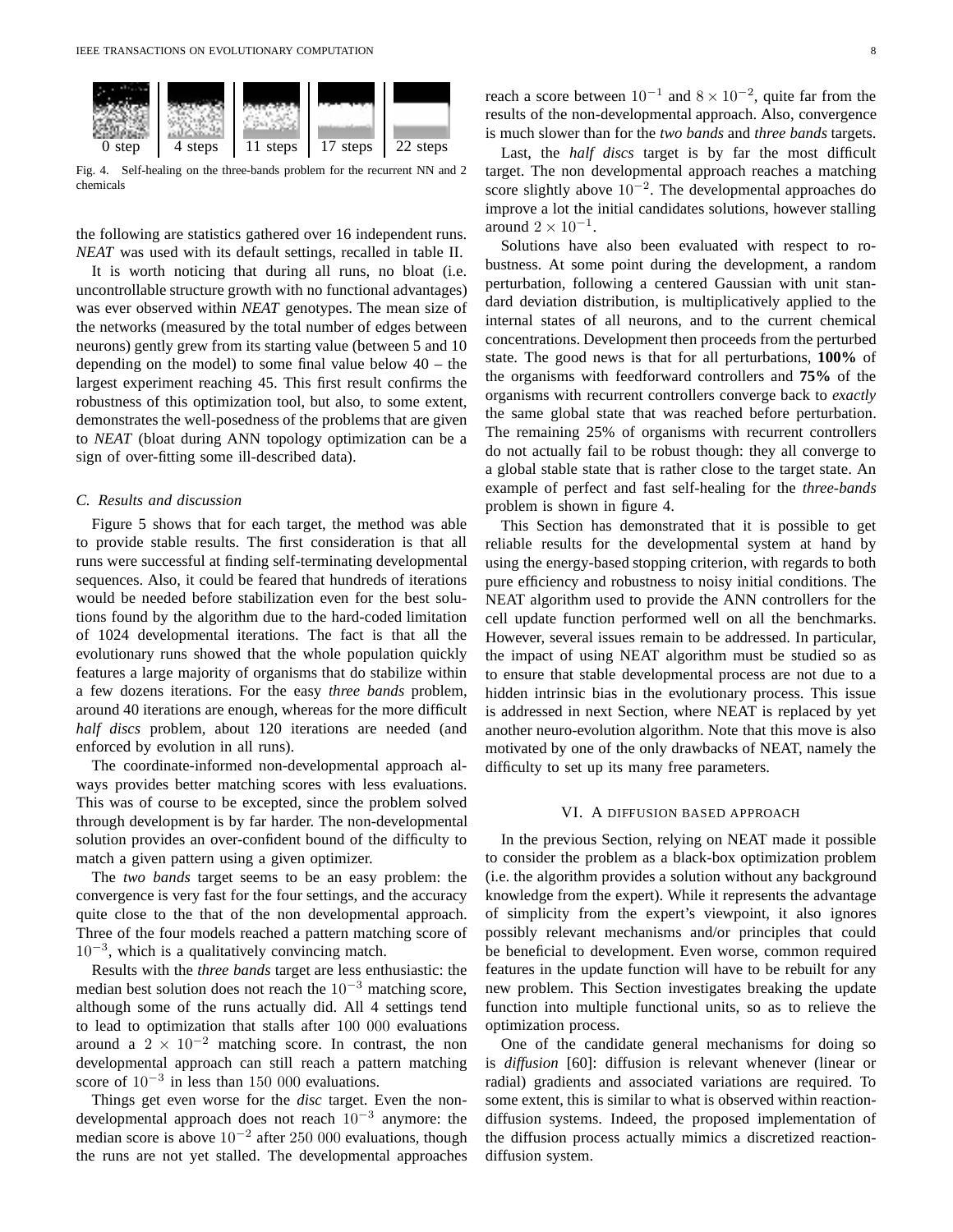

Fig. 4. Self-healing on the three-bands problem for the recurrent NN and 2 chemicals

the following are statistics gathered over 16 independent runs. *NEAT* was used with its default settings, recalled in table II.

It is worth noticing that during all runs, no bloat (i.e. uncontrollable structure growth with no functional advantages) was ever observed within *NEAT* genotypes. The mean size of the networks (measured by the total number of edges between neurons) gently grew from its starting value (between 5 and 10 depending on the model) to some final value below 40 – the largest experiment reaching 45. This first result confirms the robustness of this optimization tool, but also, to some extent, demonstrates the well-posedness of the problems that are given to *NEAT* (bloat during ANN topology optimization can be a sign of over-fitting some ill-described data).

### *C. Results and discussion*

Figure 5 shows that for each target, the method was able to provide stable results. The first consideration is that all runs were successful at finding self-terminating developmental sequences. Also, it could be feared that hundreds of iterations would be needed before stabilization even for the best solutions found by the algorithm due to the hard-coded limitation of 1024 developmental iterations. The fact is that all the evolutionary runs showed that the whole population quickly features a large majority of organisms that do stabilize within a few dozens iterations. For the easy *three bands* problem, around 40 iterations are enough, whereas for the more difficult *half discs* problem, about 120 iterations are needed (and enforced by evolution in all runs).

The coordinate-informed non-developmental approach always provides better matching scores with less evaluations. This was of course to be excepted, since the problem solved through development is by far harder. The non-developmental solution provides an over-confident bound of the difficulty to match a given pattern using a given optimizer.

The *two bands* target seems to be an easy problem: the convergence is very fast for the four settings, and the accuracy quite close to the that of the non developmental approach. Three of the four models reached a pattern matching score of 10<sup>−</sup><sup>3</sup> , which is a qualitatively convincing match.

Results with the *three bands* target are less enthusiastic: the median best solution does not reach the  $10^{-3}$  matching score, although some of the runs actually did. All 4 settings tend to lead to optimization that stalls after 100 000 evaluations around a  $2 \times 10^{-2}$  matching score. In contrast, the non developmental approach can still reach a pattern matching score of 10<sup>-3</sup> in less than 150 000 evaluations.

Things get even worse for the *disc* target. Even the nondevelopmental approach does not reach  $10^{-3}$  anymore: the median score is above  $10^{-2}$  after 250 000 evaluations, though the runs are not yet stalled. The developmental approaches

reach a score between  $10^{-1}$  and  $8 \times 10^{-2}$ , quite far from the results of the non-developmental approach. Also, convergence is much slower than for the *two bands* and *three bands* targets.

Last, the *half discs* target is by far the most difficult target. The non developmental approach reaches a matching score slightly above  $10^{-2}$ . The developmental approaches do improve a lot the initial candidates solutions, however stalling around  $2 \times 10^{-1}$ .

Solutions have also been evaluated with respect to robustness. At some point during the development, a random perturbation, following a centered Gaussian with unit standard deviation distribution, is multiplicatively applied to the internal states of all neurons, and to the current chemical concentrations. Development then proceeds from the perturbed state. The good news is that for all perturbations, **100%** of the organisms with feedforward controllers and **75%** of the organisms with recurrent controllers converge back to *exactly* the same global state that was reached before perturbation. The remaining 25% of organisms with recurrent controllers do not actually fail to be robust though: they all converge to a global stable state that is rather close to the target state. An example of perfect and fast self-healing for the *three-bands* problem is shown in figure 4.

This Section has demonstrated that it is possible to get reliable results for the developmental system at hand by using the energy-based stopping criterion, with regards to both pure efficiency and robustness to noisy initial conditions. The NEAT algorithm used to provide the ANN controllers for the cell update function performed well on all the benchmarks. However, several issues remain to be addressed. In particular, the impact of using NEAT algorithm must be studied so as to ensure that stable developmental process are not due to a hidden intrinsic bias in the evolutionary process. This issue is addressed in next Section, where NEAT is replaced by yet another neuro-evolution algorithm. Note that this move is also motivated by one of the only drawbacks of NEAT, namely the difficulty to set up its many free parameters.

# VI. A DIFFUSION BASED APPROACH

In the previous Section, relying on NEAT made it possible to consider the problem as a black-box optimization problem (i.e. the algorithm provides a solution without any background knowledge from the expert). While it represents the advantage of simplicity from the expert's viewpoint, it also ignores possibly relevant mechanisms and/or principles that could be beneficial to development. Even worse, common required features in the update function will have to be rebuilt for any new problem. This Section investigates breaking the update function into multiple functional units, so as to relieve the optimization process.

One of the candidate general mechanisms for doing so is *diffusion* [60]: diffusion is relevant whenever (linear or radial) gradients and associated variations are required. To some extent, this is similar to what is observed within reactiondiffusion systems. Indeed, the proposed implementation of the diffusion process actually mimics a discretized reactiondiffusion system.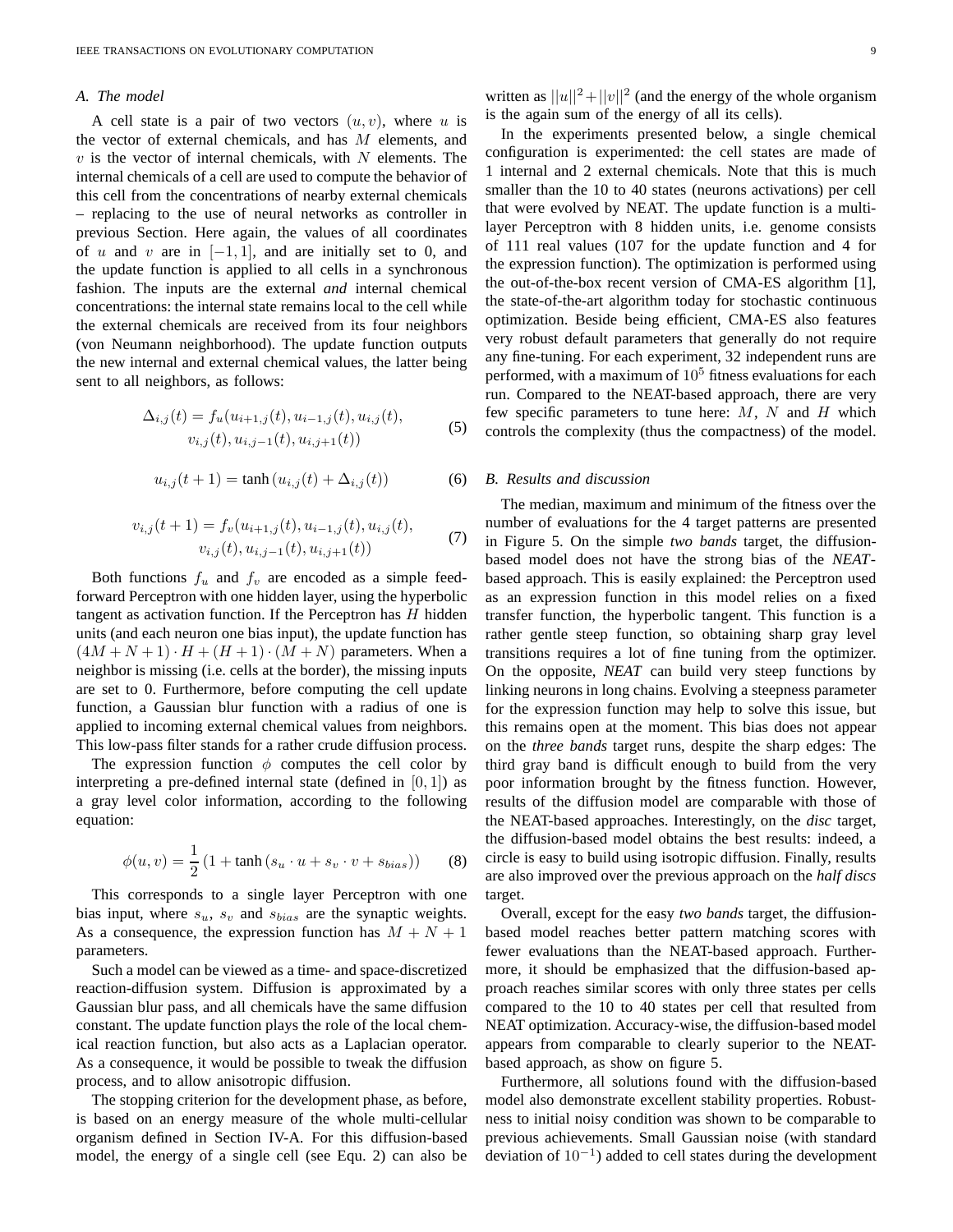### *A. The model*

A cell state is a pair of two vectors  $(u, v)$ , where u is the vector of external chemicals, and has  $M$  elements, and  $v$  is the vector of internal chemicals, with  $N$  elements. The internal chemicals of a cell are used to compute the behavior of this cell from the concentrations of nearby external chemicals – replacing to the use of neural networks as controller in previous Section. Here again, the values of all coordinates of u and v are in  $[-1, 1]$ , and are initially set to 0, and the update function is applied to all cells in a synchronous fashion. The inputs are the external *and* internal chemical concentrations: the internal state remains local to the cell while the external chemicals are received from its four neighbors (von Neumann neighborhood). The update function outputs the new internal and external chemical values, the latter being sent to all neighbors, as follows:

$$
\Delta_{i,j}(t) = f_u(u_{i+1,j}(t), u_{i-1,j}(t), u_{i,j}(t),
$$
  

$$
v_{i,j}(t), u_{i,j-1}(t), u_{i,j+1}(t))
$$
 (5)

$$
u_{i,j}(t+1) = \tanh(u_{i,j}(t) + \Delta_{i,j}(t))
$$
 (6)

$$
v_{i,j}(t+1) = f_v(u_{i+1,j}(t), u_{i-1,j}(t), u_{i,j}(t),
$$
  
\n
$$
v_{i,j}(t), u_{i,j-1}(t), u_{i,j+1}(t))
$$
\n(7)

Both functions  $f_u$  and  $f_v$  are encoded as a simple feedforward Perceptron with one hidden layer, using the hyperbolic tangent as activation function. If the Perceptron has  $H$  hidden units (and each neuron one bias input), the update function has  $(4M + N + 1) \cdot H + (H + 1) \cdot (M + N)$  parameters. When a neighbor is missing (i.e. cells at the border), the missing inputs are set to 0. Furthermore, before computing the cell update function, a Gaussian blur function with a radius of one is applied to incoming external chemical values from neighbors. This low-pass filter stands for a rather crude diffusion process.

The expression function  $\phi$  computes the cell color by interpreting a pre-defined internal state (defined in  $[0, 1]$ ) as a gray level color information, according to the following equation:

$$
\phi(u,v) = \frac{1}{2} \left( 1 + \tanh \left( s_u \cdot u + s_v \cdot v + s_{bias} \right) \right) \tag{8}
$$

This corresponds to a single layer Perceptron with one bias input, where  $s_u$ ,  $s_v$  and  $s_{bias}$  are the synaptic weights. As a consequence, the expression function has  $M + N + 1$ parameters.

Such a model can be viewed as a time- and space-discretized reaction-diffusion system. Diffusion is approximated by a Gaussian blur pass, and all chemicals have the same diffusion constant. The update function plays the role of the local chemical reaction function, but also acts as a Laplacian operator. As a consequence, it would be possible to tweak the diffusion process, and to allow anisotropic diffusion.

The stopping criterion for the development phase, as before, is based on an energy measure of the whole multi-cellular organism defined in Section IV-A. For this diffusion-based model, the energy of a single cell (see Equ. 2) can also be

written as  $||u||^2 + ||v||^2$  (and the energy of the whole organism is the again sum of the energy of all its cells).

In the experiments presented below, a single chemical configuration is experimented: the cell states are made of 1 internal and 2 external chemicals. Note that this is much smaller than the 10 to 40 states (neurons activations) per cell that were evolved by NEAT. The update function is a multilayer Perceptron with 8 hidden units, i.e. genome consists of 111 real values (107 for the update function and 4 for the expression function). The optimization is performed using the out-of-the-box recent version of CMA-ES algorithm [1], the state-of-the-art algorithm today for stochastic continuous optimization. Beside being efficient, CMA-ES also features very robust default parameters that generally do not require any fine-tuning. For each experiment, 32 independent runs are performed, with a maximum of  $10<sup>5</sup>$  fitness evaluations for each run. Compared to the NEAT-based approach, there are very few specific parameters to tune here:  $M$ ,  $N$  and  $H$  which controls the complexity (thus the compactness) of the model.

#### *B. Results and discussion*

The median, maximum and minimum of the fitness over the number of evaluations for the 4 target patterns are presented in Figure 5. On the simple *two bands* target, the diffusionbased model does not have the strong bias of the *NEAT*based approach. This is easily explained: the Perceptron used as an expression function in this model relies on a fixed transfer function, the hyperbolic tangent. This function is a rather gentle steep function, so obtaining sharp gray level transitions requires a lot of fine tuning from the optimizer. On the opposite, *NEAT* can build very steep functions by linking neurons in long chains. Evolving a steepness parameter for the expression function may help to solve this issue, but this remains open at the moment. This bias does not appear on the *three bands* target runs, despite the sharp edges: The third gray band is difficult enough to build from the very poor information brought by the fitness function. However, results of the diffusion model are comparable with those of the NEAT-based approaches. Interestingly, on the *disc* target, the diffusion-based model obtains the best results: indeed, a circle is easy to build using isotropic diffusion. Finally, results are also improved over the previous approach on the *half discs* target.

Overall, except for the easy *two bands* target, the diffusionbased model reaches better pattern matching scores with fewer evaluations than the NEAT-based approach. Furthermore, it should be emphasized that the diffusion-based approach reaches similar scores with only three states per cells compared to the 10 to 40 states per cell that resulted from NEAT optimization. Accuracy-wise, the diffusion-based model appears from comparable to clearly superior to the NEATbased approach, as show on figure 5.

Furthermore, all solutions found with the diffusion-based model also demonstrate excellent stability properties. Robustness to initial noisy condition was shown to be comparable to previous achievements. Small Gaussian noise (with standard deviation of 10−<sup>1</sup> ) added to cell states during the development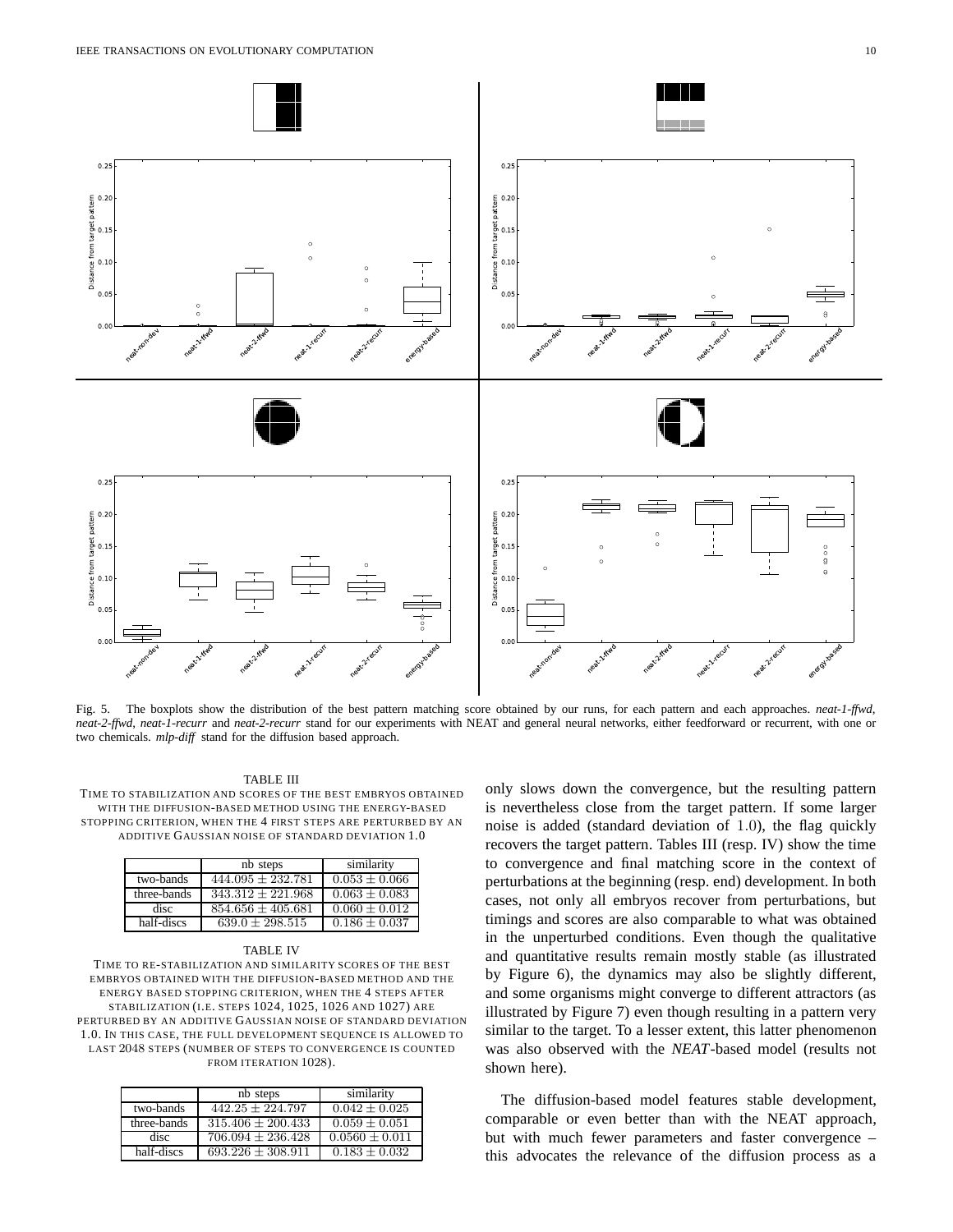

Fig. 5. The boxplots show the distribution of the best pattern matching score obtained by our runs, for each pattern and each approaches. *neat-1-ffwd*, *neat-2-ffwd*, *neat-1-recurr* and *neat-2-recurr* stand for our experiments with NEAT and general neural networks, either feedforward or recurrent, with one or two chemicals. *mlp-diff* stand for the diffusion based approach.

#### TABLE III

TIME TO STABILIZATION AND SCORES OF THE BEST EMBRYOS OBTAINED WITH THE DIFFUSION-BASED METHOD USING THE ENERGY-BASED STOPPING CRITERION, WHEN THE 4 FIRST STEPS ARE PERTURBED BY AN ADDITIVE GAUSSIAN NOISE OF STANDARD DEVIATION 1.0

|             | nb steps              | similarity        |
|-------------|-----------------------|-------------------|
| two-bands   | $444.095 \pm 232.781$ | $0.053 \pm 0.066$ |
| three-bands | $343.312 + 221.968$   | $0.063 \pm 0.083$ |
| disc        | $854.656 \pm 405.681$ | $0.060 \pm 0.012$ |
| half-discs  | $639.0 \pm 298.515$   | $0.186 + 0.037$   |

#### TABLE IV

TIME TO RE-STABILIZATION AND SIMILARITY SCORES OF THE BEST EMBRYOS OBTAINED WITH THE DIFFUSION-BASED METHOD AND THE ENERGY BASED STOPPING CRITERION, WHEN THE 4 STEPS AFTER STABILIZATION (I.E. STEPS 1024, 1025, 1026 AND 1027) ARE PERTURBED BY AN ADDITIVE GAUSSIAN NOISE OF STANDARD DEVIATION 1.0. IN THIS CASE, THE FULL DEVELOPMENT SEQUENCE IS ALLOWED TO LAST 2048 STEPS (NUMBER OF STEPS TO CONVERGENCE IS COUNTED FROM ITERATION 1028).

|             | nb steps              | similarity         |
|-------------|-----------------------|--------------------|
| two-bands   | $442.25 + 224.797$    | $0.042 \pm 0.025$  |
| three-bands | $315.406 \pm 200.433$ | $0.059 \pm 0.051$  |
| disc        | $706.094 \pm 236.428$ | $0.0560 \pm 0.011$ |
| half-discs  | $693.226 \pm 308.911$ | $0.183 \pm 0.032$  |
|             |                       |                    |

only slows down the convergence, but the resulting pattern is nevertheless close from the target pattern. If some larger noise is added (standard deviation of 1.0), the flag quickly recovers the target pattern. Tables III (resp. IV) show the time to convergence and final matching score in the context of perturbations at the beginning (resp. end) development. In both cases, not only all embryos recover from perturbations, but timings and scores are also comparable to what was obtained in the unperturbed conditions. Even though the qualitative and quantitative results remain mostly stable (as illustrated by Figure 6), the dynamics may also be slightly different, and some organisms might converge to different attractors (as illustrated by Figure 7) even though resulting in a pattern very similar to the target. To a lesser extent, this latter phenomenon was also observed with the *NEAT*-based model (results not shown here).

The diffusion-based model features stable development, comparable or even better than with the NEAT approach, but with much fewer parameters and faster convergence – this advocates the relevance of the diffusion process as a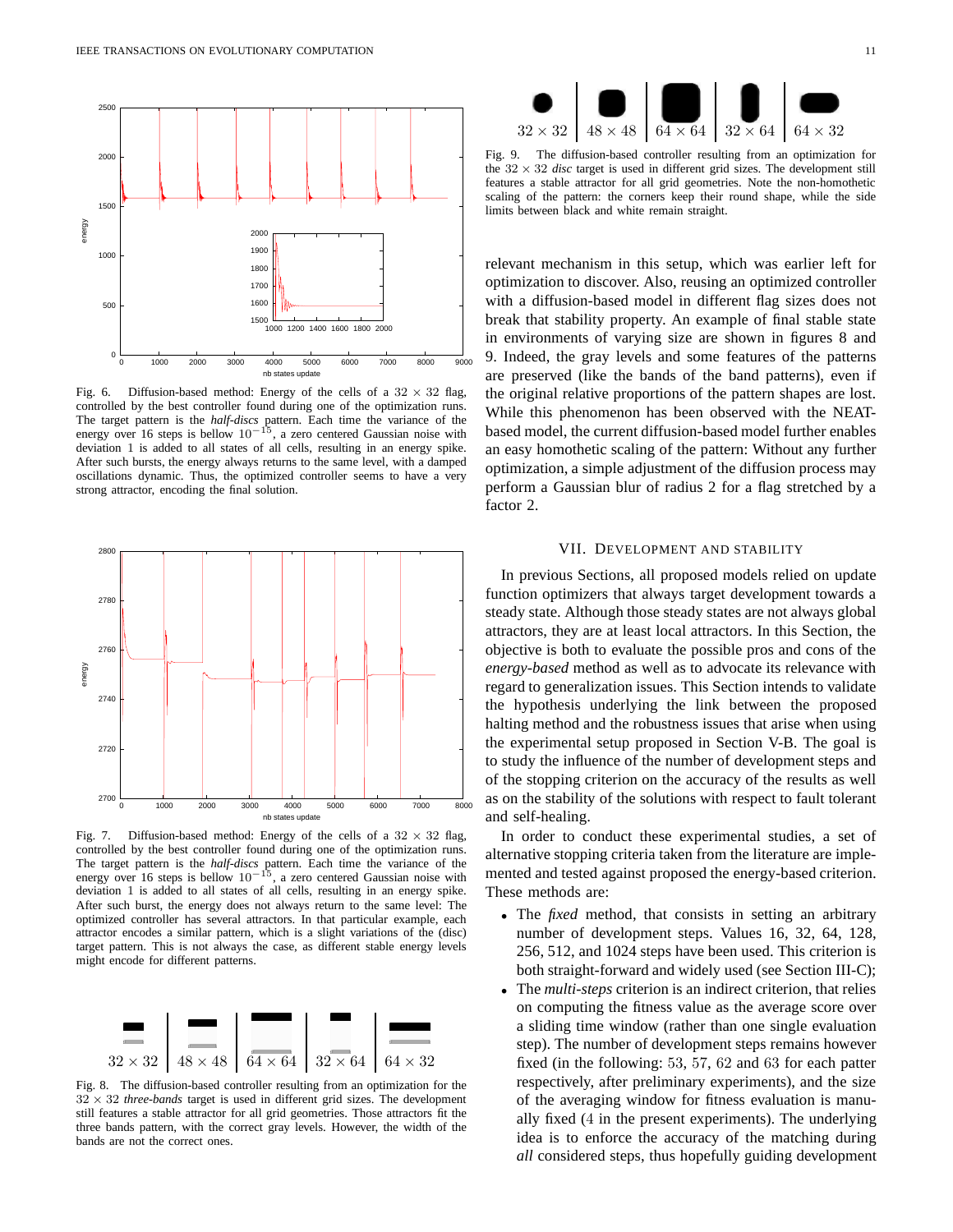

Fig. 6. Diffusion-based method: Energy of the cells of a  $32 \times 32$  flag, controlled by the best controller found during one of the optimization runs. The target pattern is the *half-discs* pattern. Each time the variance of the energy over 16 steps is bellow 10−15, a zero centered Gaussian noise with deviation 1 is added to all states of all cells, resulting in an energy spike. After such bursts, the energy always returns to the same level, with a damped oscillations dynamic. Thus, the optimized controller seems to have a very strong attractor, encoding the final solution.



Fig. 7. Diffusion-based method: Energy of the cells of a  $32 \times 32$  flag, controlled by the best controller found during one of the optimization runs. The target pattern is the *half-discs* pattern. Each time the variance of the energy over 16 steps is bellow 10−15, a zero centered Gaussian noise with deviation 1 is added to all states of all cells, resulting in an energy spike. After such burst, the energy does not always return to the same level: The optimized controller has several attractors. In that particular example, each attractor encodes a similar pattern, which is a slight variations of the (disc) target pattern. This is not always the case, as different stable energy levels might encode for different patterns.



Fig. 8. The diffusion-based controller resulting from an optimization for the  $32 \times 32$  *three-bands* target is used in different grid sizes. The development still features a stable attractor for all grid geometries. Those attractors fit the three bands pattern, with the correct gray levels. However, the width of the bands are not the correct ones.



Fig. 9. The diffusion-based controller resulting from an optimization for the  $32 \times 32$  *disc* target is used in different grid sizes. The development still features a stable attractor for all grid geometries. Note the non-homothetic scaling of the pattern: the corners keep their round shape, while the side limits between black and white remain straight.

relevant mechanism in this setup, which was earlier left for optimization to discover. Also, reusing an optimized controller with a diffusion-based model in different flag sizes does not break that stability property. An example of final stable state in environments of varying size are shown in figures 8 and 9. Indeed, the gray levels and some features of the patterns are preserved (like the bands of the band patterns), even if the original relative proportions of the pattern shapes are lost. While this phenomenon has been observed with the NEATbased model, the current diffusion-based model further enables an easy homothetic scaling of the pattern: Without any further optimization, a simple adjustment of the diffusion process may perform a Gaussian blur of radius 2 for a flag stretched by a factor 2.

#### VII. DEVELOPMENT AND STABILITY

In previous Sections, all proposed models relied on update function optimizers that always target development towards a steady state. Although those steady states are not always global attractors, they are at least local attractors. In this Section, the objective is both to evaluate the possible pros and cons of the *energy-based* method as well as to advocate its relevance with regard to generalization issues. This Section intends to validate the hypothesis underlying the link between the proposed halting method and the robustness issues that arise when using the experimental setup proposed in Section V-B. The goal is to study the influence of the number of development steps and of the stopping criterion on the accuracy of the results as well as on the stability of the solutions with respect to fault tolerant and self-healing.

In order to conduct these experimental studies, a set of alternative stopping criteria taken from the literature are implemented and tested against proposed the energy-based criterion. These methods are:

- The *fixed* method, that consists in setting an arbitrary number of development steps. Values 16, 32, 64, 128, 256, 512, and 1024 steps have been used. This criterion is both straight-forward and widely used (see Section III-C);
- The *multi-steps* criterion is an indirect criterion, that relies on computing the fitness value as the average score over a sliding time window (rather than one single evaluation step). The number of development steps remains however fixed (in the following: 53, 57, 62 and 63 for each patter respectively, after preliminary experiments), and the size of the averaging window for fitness evaluation is manually fixed (4 in the present experiments). The underlying idea is to enforce the accuracy of the matching during *all* considered steps, thus hopefully guiding development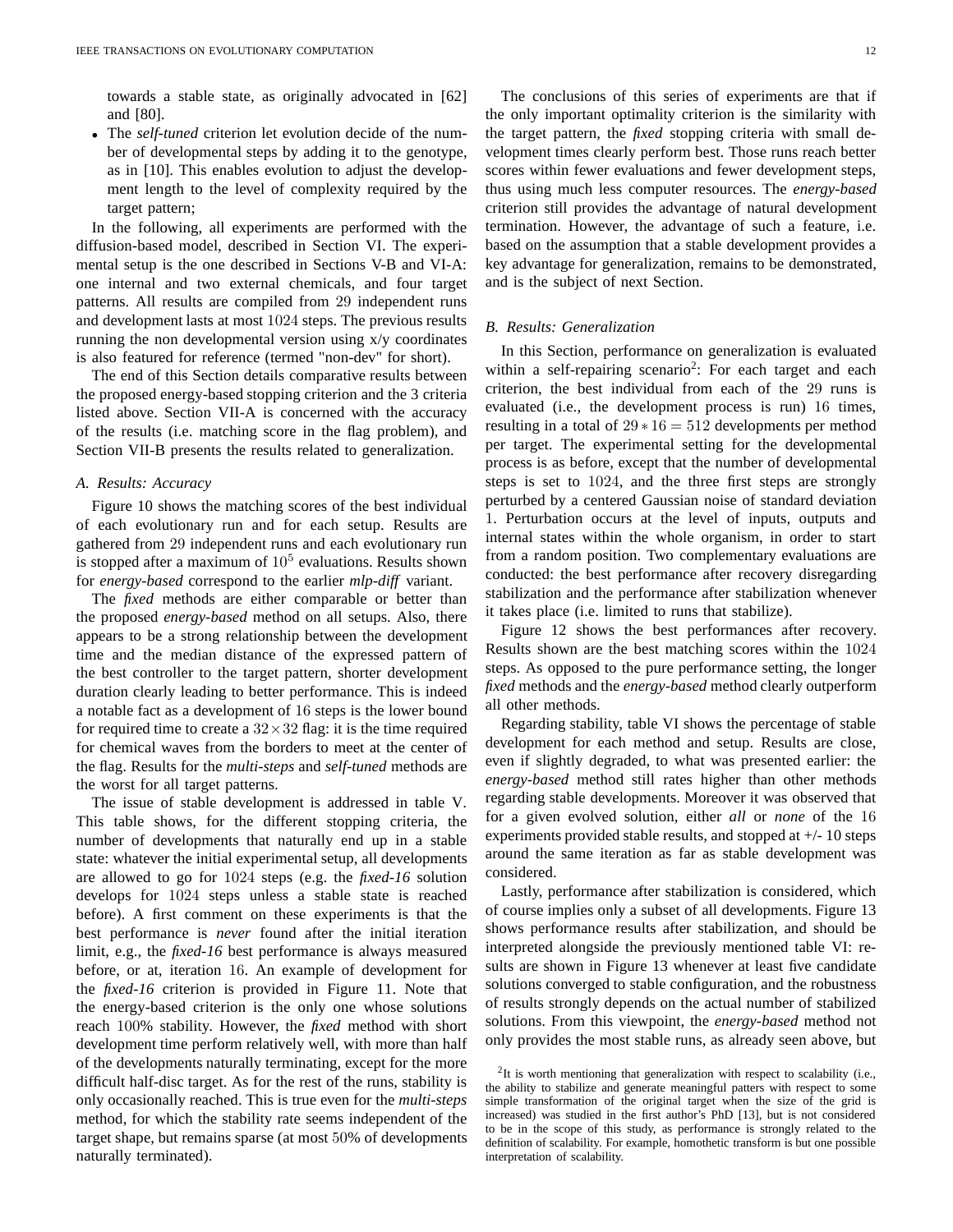towards a stable state, as originally advocated in [62] and [80].

• The *self-tuned* criterion let evolution decide of the number of developmental steps by adding it to the genotype, as in [10]. This enables evolution to adjust the development length to the level of complexity required by the target pattern;

In the following, all experiments are performed with the diffusion-based model, described in Section VI. The experimental setup is the one described in Sections V-B and VI-A: one internal and two external chemicals, and four target patterns. All results are compiled from 29 independent runs and development lasts at most 1024 steps. The previous results running the non developmental version using x/y coordinates is also featured for reference (termed "non-dev" for short).

The end of this Section details comparative results between the proposed energy-based stopping criterion and the 3 criteria listed above. Section VII-A is concerned with the accuracy of the results (i.e. matching score in the flag problem), and Section VII-B presents the results related to generalization.

## *A. Results: Accuracy*

Figure 10 shows the matching scores of the best individual of each evolutionary run and for each setup. Results are gathered from 29 independent runs and each evolutionary run is stopped after a maximum of  $10^5$  evaluations. Results shown for *energy-based* correspond to the earlier *mlp-diff* variant.

The *fixed* methods are either comparable or better than the proposed *energy-based* method on all setups. Also, there appears to be a strong relationship between the development time and the median distance of the expressed pattern of the best controller to the target pattern, shorter development duration clearly leading to better performance. This is indeed a notable fact as a development of 16 steps is the lower bound for required time to create a  $32 \times 32$  flag: it is the time required for chemical waves from the borders to meet at the center of the flag. Results for the *multi-steps* and *self-tuned* methods are the worst for all target patterns.

The issue of stable development is addressed in table V. This table shows, for the different stopping criteria, the number of developments that naturally end up in a stable state: whatever the initial experimental setup, all developments are allowed to go for 1024 steps (e.g. the *fixed-16* solution develops for 1024 steps unless a stable state is reached before). A first comment on these experiments is that the best performance is *never* found after the initial iteration limit, e.g., the *fixed-16* best performance is always measured before, or at, iteration 16. An example of development for the *fixed-16* criterion is provided in Figure 11. Note that the energy-based criterion is the only one whose solutions reach 100% stability. However, the *fixed* method with short development time perform relatively well, with more than half of the developments naturally terminating, except for the more difficult half-disc target. As for the rest of the runs, stability is only occasionally reached. This is true even for the *multi-steps* method, for which the stability rate seems independent of the target shape, but remains sparse (at most 50% of developments naturally terminated).

The conclusions of this series of experiments are that if the only important optimality criterion is the similarity with the target pattern, the *fixed* stopping criteria with small development times clearly perform best. Those runs reach better scores within fewer evaluations and fewer development steps, thus using much less computer resources. The *energy-based* criterion still provides the advantage of natural development termination. However, the advantage of such a feature, i.e. based on the assumption that a stable development provides a key advantage for generalization, remains to be demonstrated, and is the subject of next Section.

#### *B. Results: Generalization*

In this Section, performance on generalization is evaluated within a self-repairing scenario<sup>2</sup>: For each target and each criterion, the best individual from each of the 29 runs is evaluated (i.e., the development process is run) 16 times, resulting in a total of  $29 * 16 = 512$  developments per method per target. The experimental setting for the developmental process is as before, except that the number of developmental steps is set to 1024, and the three first steps are strongly perturbed by a centered Gaussian noise of standard deviation 1. Perturbation occurs at the level of inputs, outputs and internal states within the whole organism, in order to start from a random position. Two complementary evaluations are conducted: the best performance after recovery disregarding stabilization and the performance after stabilization whenever it takes place (i.e. limited to runs that stabilize).

Figure 12 shows the best performances after recovery. Results shown are the best matching scores within the 1024 steps. As opposed to the pure performance setting, the longer *fixed* methods and the *energy-based* method clearly outperform all other methods.

Regarding stability, table VI shows the percentage of stable development for each method and setup. Results are close, even if slightly degraded, to what was presented earlier: the *energy-based* method still rates higher than other methods regarding stable developments. Moreover it was observed that for a given evolved solution, either *all* or *none* of the 16 experiments provided stable results, and stopped at +/- 10 steps around the same iteration as far as stable development was considered.

Lastly, performance after stabilization is considered, which of course implies only a subset of all developments. Figure 13 shows performance results after stabilization, and should be interpreted alongside the previously mentioned table VI: results are shown in Figure 13 whenever at least five candidate solutions converged to stable configuration, and the robustness of results strongly depends on the actual number of stabilized solutions. From this viewpoint, the *energy-based* method not only provides the most stable runs, as already seen above, but

<sup>&</sup>lt;sup>2</sup>It is worth mentioning that generalization with respect to scalability (i.e., the ability to stabilize and generate meaningful patters with respect to some simple transformation of the original target when the size of the grid is increased) was studied in the first author's PhD [13], but is not considered to be in the scope of this study, as performance is strongly related to the definition of scalability. For example, homothetic transform is but one possible interpretation of scalability.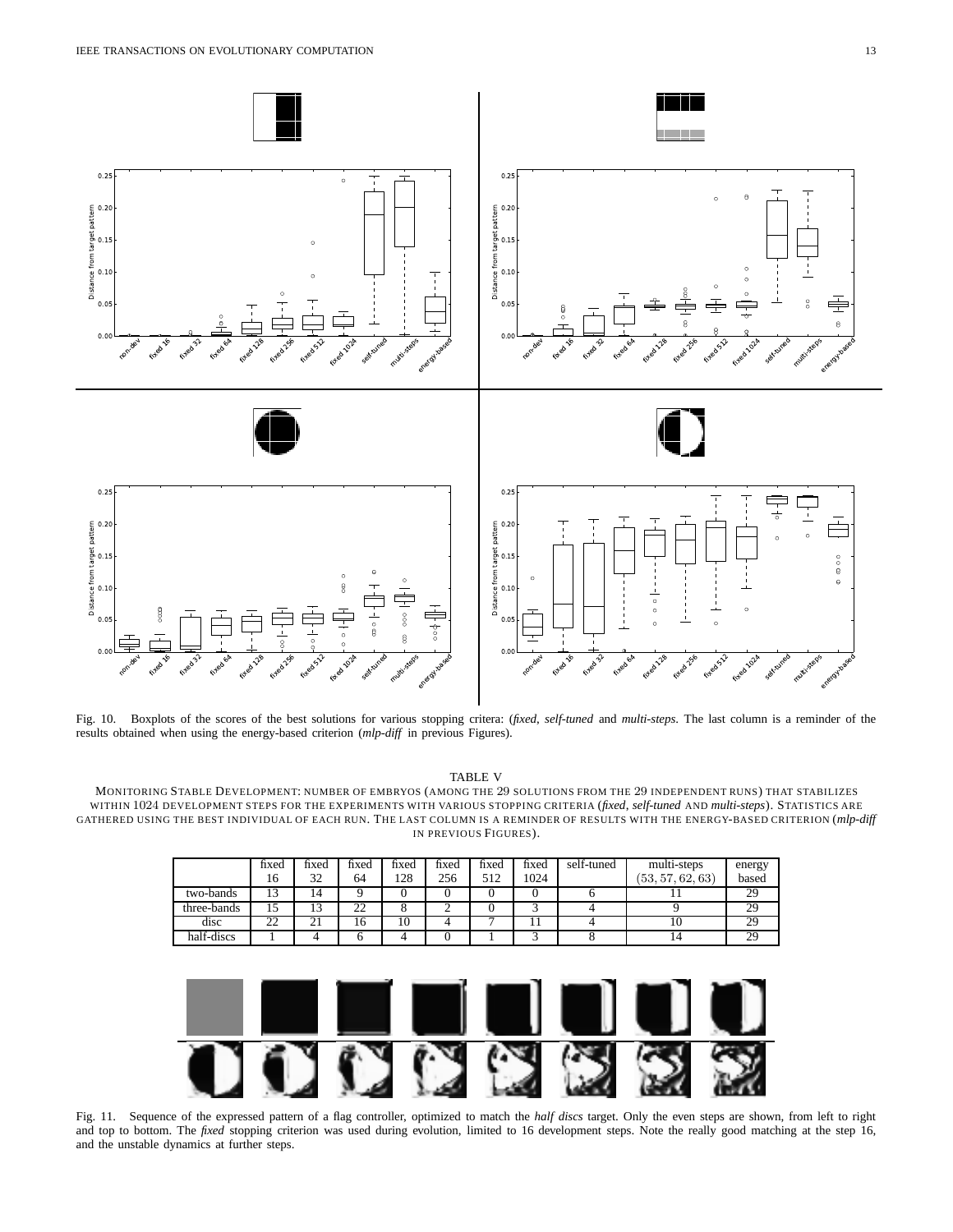

Fig. 10. Boxplots of the scores of the best solutions for various stopping critera: (*fixed*, *self-tuned* and *multi-steps*. The last column is a reminder of the results obtained when using the energy-based criterion (*mlp-diff* in previous Figures).

TABLE V

MONITORING STABLE DEVELOPMENT: NUMBER OF EMBRYOS (AMONG THE 29 SOLUTIONS FROM THE 29 INDEPENDENT RUNS) THAT STABILIZES WITHIN 1024 DEVELOPMENT STEPS FOR THE EXPERIMENTS WITH VARIOUS STOPPING CRITERIA (*fixed*, *self-tuned* AND *multi-steps*). STATISTICS ARE GATHERED USING THE BEST INDIVIDUAL OF EACH RUN. THE LAST COLUMN IS A REMINDER OF RESULTS WITH THE ENERGY-BASED CRITERION (*mlp-diff* IN PREVIOUS FIGURES).

|             | fixed | fixed | fixed        | fixed | fixed | fixed | fixed | self-tuned | multi-steps      | energy |
|-------------|-------|-------|--------------|-------|-------|-------|-------|------------|------------------|--------|
|             | 16    | 32    | 64           | 128   | 256   | 512   | 1024  |            | (53, 57, 62, 63) | based  |
| two-bands   | 13    | 14    |              |       |       |       |       |            |                  | 29     |
| three-bands | 15    |       | $\sim$<br>22 |       |       |       |       |            |                  | 29     |
| disc        | 22    | ∠∎    | 16           | 10    |       |       |       |            | 10               | 29     |
| half-discs  |       |       |              |       |       |       |       |            |                  | 29     |



Fig. 11. Sequence of the expressed pattern of a flag controller, optimized to match the *half discs* target. Only the even steps are shown, from left to right and top to bottom. The *fixed* stopping criterion was used during evolution, limited to 16 development steps. Note the really good matching at the step 16, and the unstable dynamics at further steps.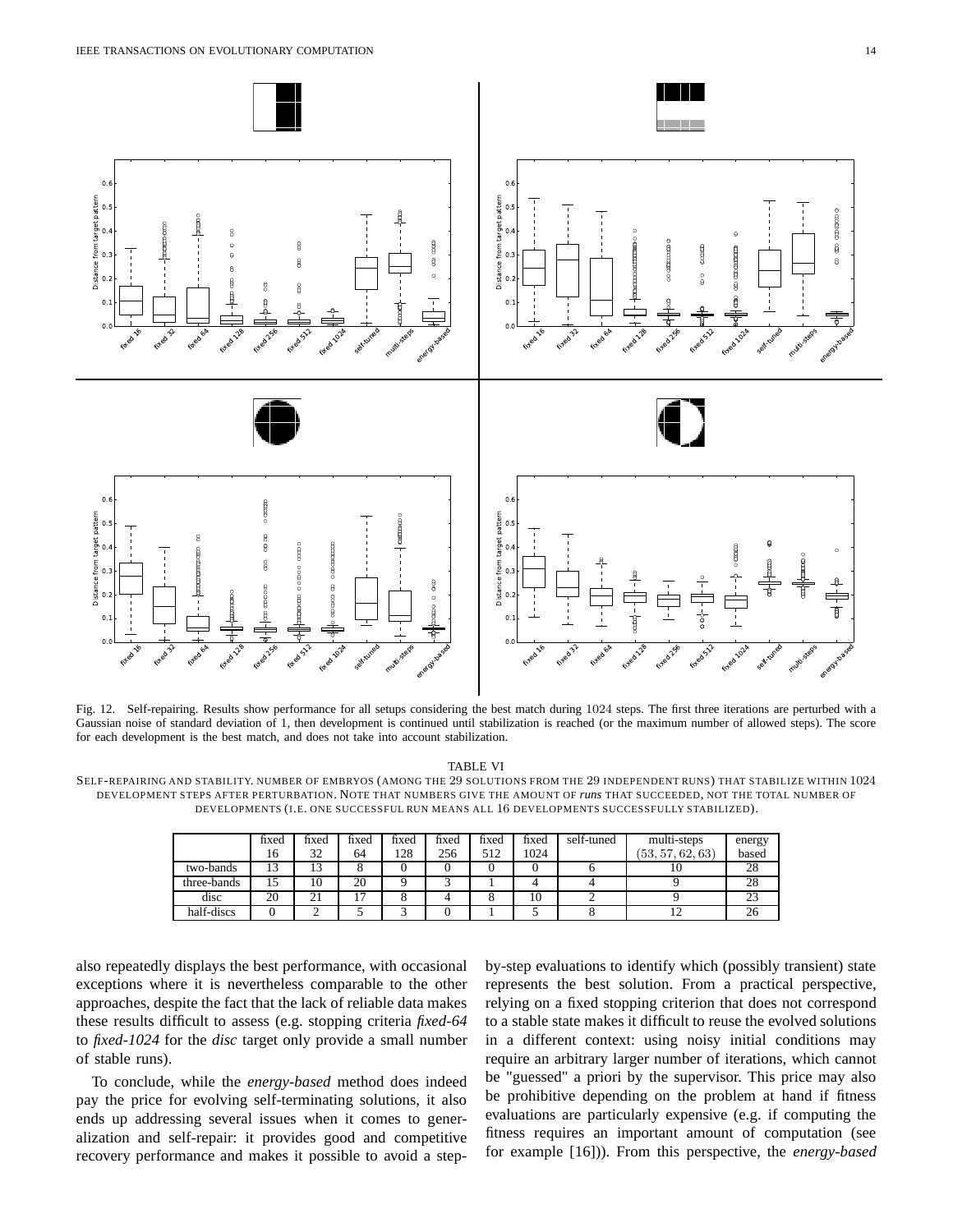

Fig. 12. Self-repairing. Results show performance for all setups considering the best match during 1024 steps. The first three iterations are perturbed with a Gaussian noise of standard deviation of 1, then development is continued until stabilization is reached (or the maximum number of allowed steps). The score for each development is the best match, and does not take into account stabilization.

TABLE VI

SELF-REPAIRING AND STABILITY. NUMBER OF EMBRYOS (AMONG THE 29 SOLUTIONS FROM THE 29 INDEPENDENT RUNS) THAT STABILIZE WITHIN 1024 DEVELOPMENT STEPS AFTER PERTURBATION. NOTE THAT NUMBERS GIVE THE AMOUNT OF *runs* THAT SUCCEEDED, NOT THE TOTAL NUMBER OF DEVELOPMENTS (I.E. ONE SUCCESSFUL RUN MEANS ALL 16 DEVELOPMENTS SUCCESSFULLY STABILIZED).

|             | fixed<br>16 | fixed<br>32 | fixed<br>64 | fixed<br>128 | fixed<br>256 | fixed<br>512 | fixed<br>1024 | self-tuned | multi-steps<br>(53, 57, 62, 63) | energy<br>based |
|-------------|-------------|-------------|-------------|--------------|--------------|--------------|---------------|------------|---------------------------------|-----------------|
| two-bands   | 13          | 13          |             |              |              |              |               |            | 10                              | 28              |
| three-bands | 15          | 10          | 20          |              |              |              |               |            |                                 | 28              |
| disc        | 20          |             |             |              |              |              | 10            |            |                                 | 23              |
| half-discs  |             |             |             |              |              |              |               |            |                                 | 26              |

also repeatedly displays the best performance, with occasional exceptions where it is nevertheless comparable to the other approaches, despite the fact that the lack of reliable data makes these results difficult to assess (e.g. stopping criteria *fixed-64* to *fixed-1024* for the *disc* target only provide a small number of stable runs).

To conclude, while the *energy-based* method does indeed pay the price for evolving self-terminating solutions, it also ends up addressing several issues when it comes to generalization and self-repair: it provides good and competitive recovery performance and makes it possible to avoid a stepby-step evaluations to identify which (possibly transient) state represents the best solution. From a practical perspective, relying on a fixed stopping criterion that does not correspond to a stable state makes it difficult to reuse the evolved solutions in a different context: using noisy initial conditions may require an arbitrary larger number of iterations, which cannot be "guessed" a priori by the supervisor. This price may also be prohibitive depending on the problem at hand if fitness evaluations are particularly expensive (e.g. if computing the fitness requires an important amount of computation (see for example [16])). From this perspective, the *energy-based*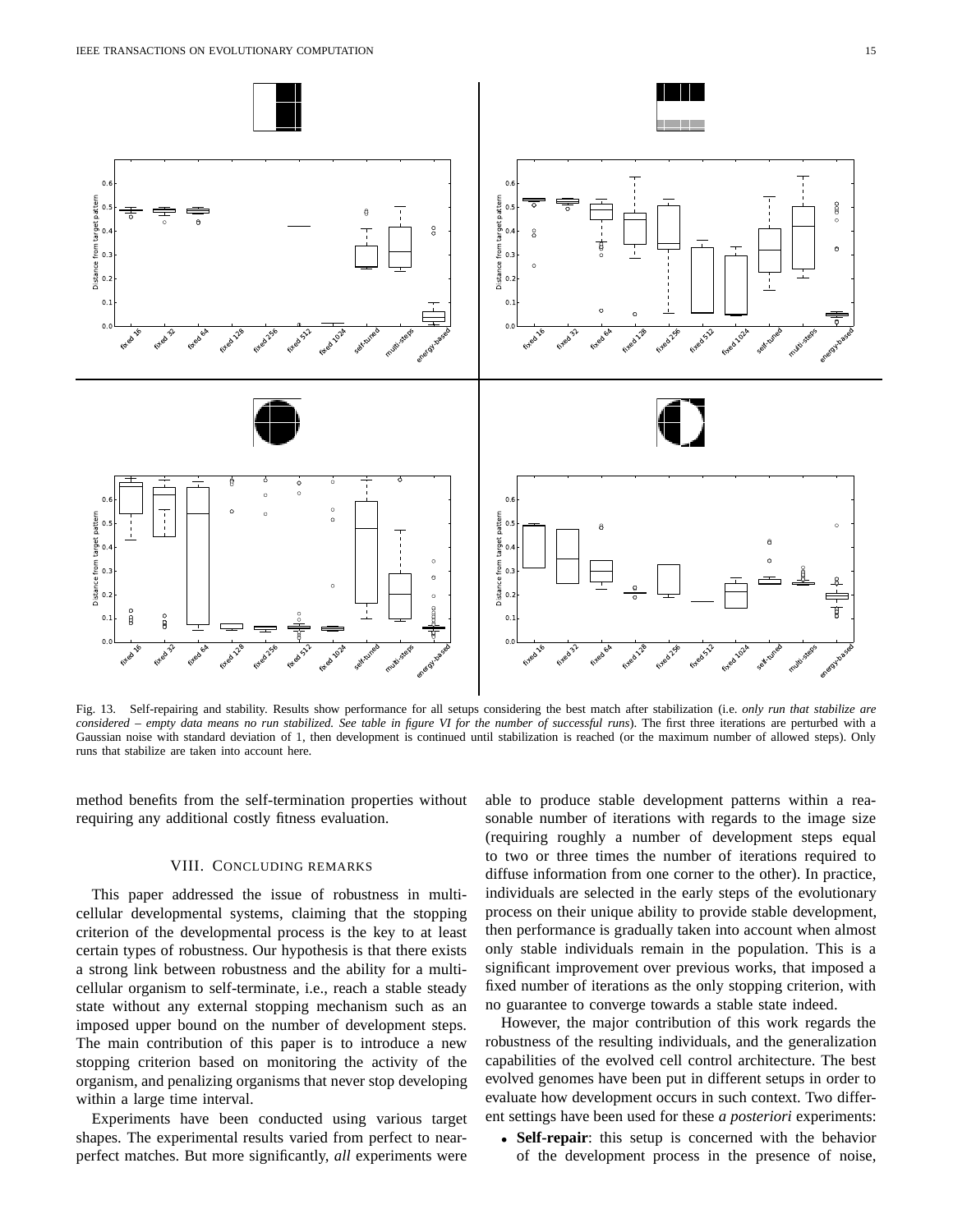

Fig. 13. Self-repairing and stability. Results show performance for all setups considering the best match after stabilization (i.e. *only run that stabilize are considered – empty data means no run stabilized. See table in figure VI for the number of successful runs*). The first three iterations are perturbed with a Gaussian noise with standard deviation of 1, then development is continued until stabilization is reached (or the maximum number of allowed steps). Only runs that stabilize are taken into account here.

method benefits from the self-termination properties without requiring any additional costly fitness evaluation.

# VIII. CONCLUDING REMARKS

This paper addressed the issue of robustness in multicellular developmental systems, claiming that the stopping criterion of the developmental process is the key to at least certain types of robustness. Our hypothesis is that there exists a strong link between robustness and the ability for a multicellular organism to self-terminate, i.e., reach a stable steady state without any external stopping mechanism such as an imposed upper bound on the number of development steps. The main contribution of this paper is to introduce a new stopping criterion based on monitoring the activity of the organism, and penalizing organisms that never stop developing within a large time interval.

Experiments have been conducted using various target shapes. The experimental results varied from perfect to nearperfect matches. But more significantly, *all* experiments were able to produce stable development patterns within a reasonable number of iterations with regards to the image size (requiring roughly a number of development steps equal to two or three times the number of iterations required to diffuse information from one corner to the other). In practice, individuals are selected in the early steps of the evolutionary process on their unique ability to provide stable development, then performance is gradually taken into account when almost only stable individuals remain in the population. This is a significant improvement over previous works, that imposed a fixed number of iterations as the only stopping criterion, with no guarantee to converge towards a stable state indeed.

However, the major contribution of this work regards the robustness of the resulting individuals, and the generalization capabilities of the evolved cell control architecture. The best evolved genomes have been put in different setups in order to evaluate how development occurs in such context. Two different settings have been used for these *a posteriori* experiments:

• **Self-repair**: this setup is concerned with the behavior of the development process in the presence of noise,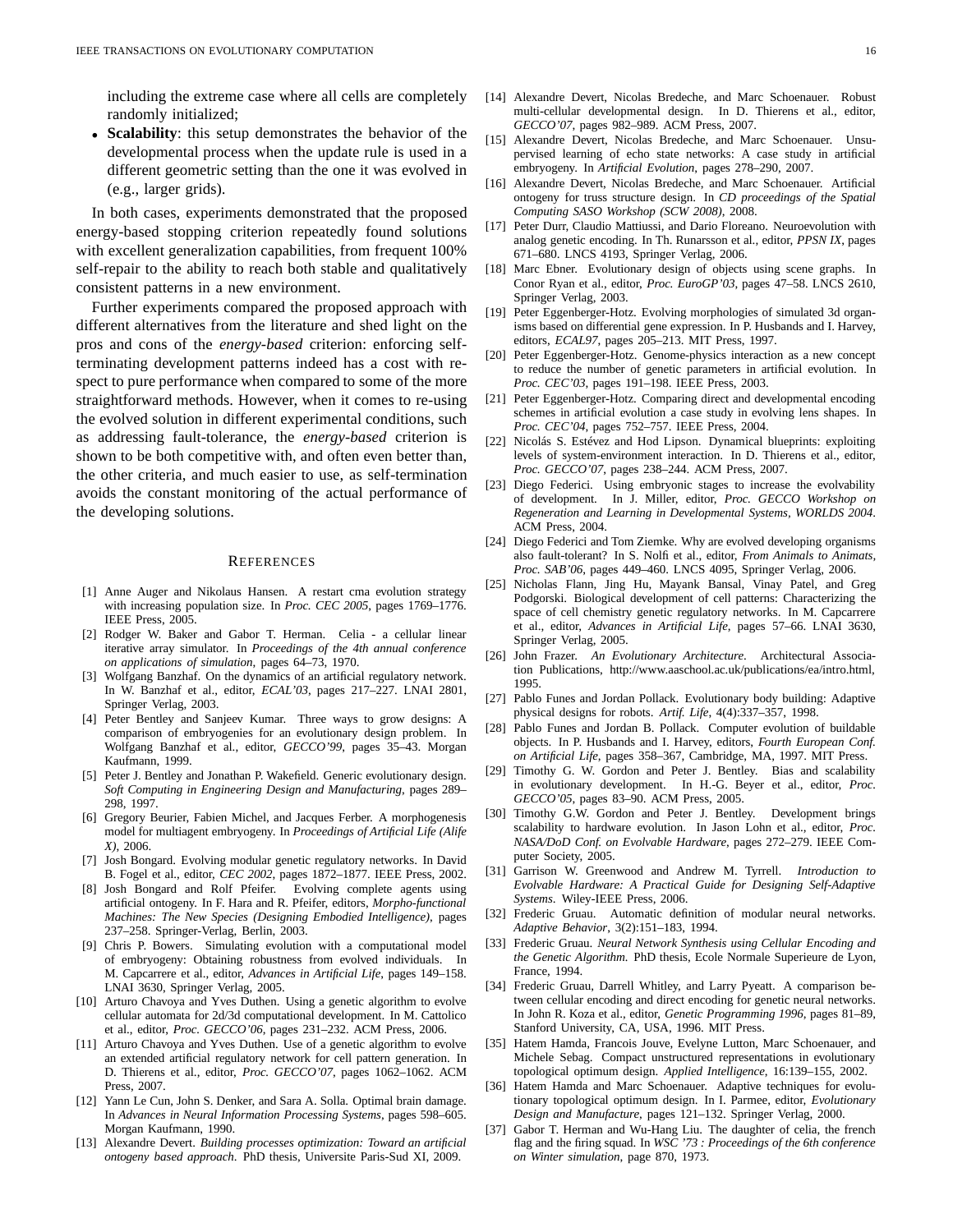including the extreme case where all cells are completely randomly initialized;

• **Scalability**: this setup demonstrates the behavior of the developmental process when the update rule is used in a different geometric setting than the one it was evolved in (e.g., larger grids).

In both cases, experiments demonstrated that the proposed energy-based stopping criterion repeatedly found solutions with excellent generalization capabilities, from frequent 100% self-repair to the ability to reach both stable and qualitatively consistent patterns in a new environment.

Further experiments compared the proposed approach with different alternatives from the literature and shed light on the pros and cons of the *energy-based* criterion: enforcing selfterminating development patterns indeed has a cost with respect to pure performance when compared to some of the more straightforward methods. However, when it comes to re-using the evolved solution in different experimental conditions, such as addressing fault-tolerance, the *energy-based* criterion is shown to be both competitive with, and often even better than, the other criteria, and much easier to use, as self-termination avoids the constant monitoring of the actual performance of the developing solutions.

#### **REFERENCES**

- [1] Anne Auger and Nikolaus Hansen. A restart cma evolution strategy with increasing population size. In *Proc. CEC 2005*, pages 1769–1776. IEEE Press, 2005.
- [2] Rodger W. Baker and Gabor T. Herman. Celia a cellular linear iterative array simulator. In *Proceedings of the 4th annual conference on applications of simulation*, pages 64–73, 1970.
- [3] Wolfgang Banzhaf. On the dynamics of an artificial regulatory network. In W. Banzhaf et al., editor, *ECAL'03*, pages 217–227. LNAI 2801, Springer Verlag, 2003.
- [4] Peter Bentley and Sanjeev Kumar. Three ways to grow designs: A comparison of embryogenies for an evolutionary design problem. In Wolfgang Banzhaf et al., editor, *GECCO'99*, pages 35–43. Morgan Kaufmann, 1999.
- [5] Peter J. Bentley and Jonathan P. Wakefield. Generic evolutionary design. *Soft Computing in Engineering Design and Manufacturing*, pages 289– 298, 1997.
- [6] Gregory Beurier, Fabien Michel, and Jacques Ferber. A morphogenesis model for multiagent embryogeny. In *Proceedings of Artificial Life (Alife X)*, 2006.
- Josh Bongard. Evolving modular genetic regulatory networks. In David B. Fogel et al., editor, *CEC 2002*, pages 1872–1877. IEEE Press, 2002.
- [8] Josh Bongard and Rolf Pfeifer. Evolving complete agents using artificial ontogeny. In F. Hara and R. Pfeifer, editors, *Morpho-functional Machines: The New Species (Designing Embodied Intelligence)*, pages 237–258. Springer-Verlag, Berlin, 2003.
- [9] Chris P. Bowers. Simulating evolution with a computational model of embryogeny: Obtaining robustness from evolved individuals. In M. Capcarrere et al., editor, *Advances in Artificial Life*, pages 149–158. LNAI 3630, Springer Verlag, 2005.
- [10] Arturo Chavoya and Yves Duthen. Using a genetic algorithm to evolve cellular automata for 2d/3d computational development. In M. Cattolico et al., editor, *Proc. GECCO'06*, pages 231–232. ACM Press, 2006.
- [11] Arturo Chavoya and Yves Duthen. Use of a genetic algorithm to evolve an extended artificial regulatory network for cell pattern generation. In D. Thierens et al., editor, *Proc. GECCO'07*, pages 1062–1062. ACM Press, 2007.
- [12] Yann Le Cun, John S. Denker, and Sara A. Solla. Optimal brain damage. In *Advances in Neural Information Processing Systems*, pages 598–605. Morgan Kaufmann, 1990.
- [13] Alexandre Devert. *Building processes optimization: Toward an artificial ontogeny based approach*. PhD thesis, Universite Paris-Sud XI, 2009.
- [14] Alexandre Devert, Nicolas Bredeche, and Marc Schoenauer. Robust multi-cellular developmental design. In D. Thierens et al., editor, *GECCO'07*, pages 982–989. ACM Press, 2007.
- [15] Alexandre Devert, Nicolas Bredeche, and Marc Schoenauer. Unsupervised learning of echo state networks: A case study in artificial embryogeny. In *Artificial Evolution*, pages 278–290, 2007.
- [16] Alexandre Devert, Nicolas Bredeche, and Marc Schoenauer. Artificial ontogeny for truss structure design. In *CD proceedings of the Spatial Computing SASO Workshop (SCW 2008)*, 2008.
- [17] Peter Durr, Claudio Mattiussi, and Dario Floreano. Neuroevolution with analog genetic encoding. In Th. Runarsson et al., editor, *PPSN IX*, pages 671–680. LNCS 4193, Springer Verlag, 2006.
- [18] Marc Ebner. Evolutionary design of objects using scene graphs. In Conor Ryan et al., editor, *Proc. EuroGP'03*, pages 47–58. LNCS 2610, Springer Verlag, 2003.
- [19] Peter Eggenberger-Hotz. Evolving morphologies of simulated 3d organisms based on differential gene expression. In P. Husbands and I. Harvey, editors, *ECAL97*, pages 205–213. MIT Press, 1997.
- [20] Peter Eggenberger-Hotz. Genome-physics interaction as a new concept to reduce the number of genetic parameters in artificial evolution. In *Proc. CEC'03*, pages 191–198. IEEE Press, 2003.
- [21] Peter Eggenberger-Hotz. Comparing direct and developmental encoding schemes in artificial evolution a case study in evolving lens shapes. In *Proc. CEC'04*, pages 752–757. IEEE Press, 2004.
- [22] Nicolás S. Estévez and Hod Lipson. Dynamical blueprints: exploiting levels of system-environment interaction. In D. Thierens et al., editor, *Proc. GECCO'07*, pages 238–244. ACM Press, 2007.
- [23] Diego Federici. Using embryonic stages to increase the evolvability of development. In J. Miller, editor, *Proc. GECCO Workshop on Regeneration and Learning in Developmental Systems, WORLDS 2004*. ACM Press, 2004.
- [24] Diego Federici and Tom Ziemke. Why are evolved developing organisms also fault-tolerant? In S. Nolfi et al., editor, *From Animals to Animats, Proc. SAB'06*, pages 449–460. LNCS 4095, Springer Verlag, 2006.
- [25] Nicholas Flann, Jing Hu, Mayank Bansal, Vinay Patel, and Greg Podgorski. Biological development of cell patterns: Characterizing the space of cell chemistry genetic regulatory networks. In M. Capcarrere et al., editor, *Advances in Artificial Life*, pages 57–66. LNAI 3630, Springer Verlag, 2005.
- [26] John Frazer. *An Evolutionary Architecture*. Architectural Association Publications, http://www.aaschool.ac.uk/publications/ea/intro.html, 1995.
- [27] Pablo Funes and Jordan Pollack. Evolutionary body building: Adaptive physical designs for robots. *Artif. Life*, 4(4):337–357, 1998.
- [28] Pablo Funes and Jordan B. Pollack. Computer evolution of buildable objects. In P. Husbands and I. Harvey, editors, *Fourth European Conf. on Artificial Life*, pages 358–367, Cambridge, MA, 1997. MIT Press.
- [29] Timothy G. W. Gordon and Peter J. Bentley. Bias and scalability in evolutionary development. In H.-G. Beyer et al., editor, *Proc. GECCO'05*, pages 83–90. ACM Press, 2005.
- [30] Timothy G.W. Gordon and Peter J. Bentley. Development brings scalability to hardware evolution. In Jason Lohn et al., editor, *Proc. NASA/DoD Conf. on Evolvable Hardware*, pages 272–279. IEEE Computer Society, 2005.
- [31] Garrison W. Greenwood and Andrew M. Tyrrell. *Introduction to Evolvable Hardware: A Practical Guide for Designing Self-Adaptive Systems*. Wiley-IEEE Press, 2006.
- [32] Frederic Gruau. Automatic definition of modular neural networks. *Adaptive Behavior*, 3(2):151–183, 1994.
- [33] Frederic Gruau. *Neural Network Synthesis using Cellular Encoding and the Genetic Algorithm.* PhD thesis, Ecole Normale Superieure de Lyon, France, 1994.
- [34] Frederic Gruau, Darrell Whitley, and Larry Pyeatt. A comparison between cellular encoding and direct encoding for genetic neural networks. In John R. Koza et al., editor, *Genetic Programming 1996*, pages 81–89, Stanford University, CA, USA, 1996. MIT Press.
- [35] Hatem Hamda, Francois Jouve, Evelyne Lutton, Marc Schoenauer, and Michele Sebag. Compact unstructured representations in evolutionary topological optimum design. *Applied Intelligence*, 16:139–155, 2002.
- [36] Hatem Hamda and Marc Schoenauer. Adaptive techniques for evolutionary topological optimum design. In I. Parmee, editor, *Evolutionary Design and Manufacture*, pages 121–132. Springer Verlag, 2000.
- [37] Gabor T. Herman and Wu-Hang Liu. The daughter of celia, the french flag and the firing squad. In *WSC '73 : Proceedings of the 6th conference on Winter simulation*, page 870, 1973.